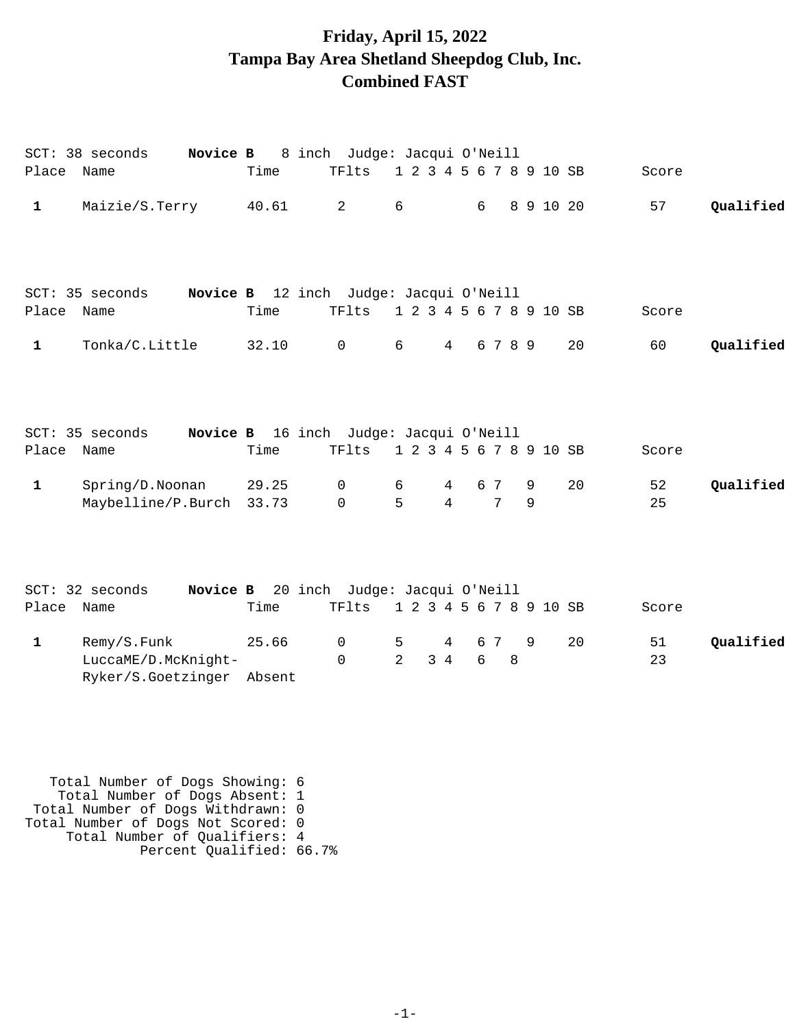## **Friday, April 15, 2022 Tampa Bay Area Shetland Sheepdog Club, Inc. Combined FAST**

| Place        | Novice B<br>SCT: 38 seconds<br>Name                             | Time           | 8 inch Judge: Jacqui O'Neill<br>TFlts           | 1 2 3 4 5 6 7 8 9 10 SB |                              |          |   |           |    | Score    |           |
|--------------|-----------------------------------------------------------------|----------------|-------------------------------------------------|-------------------------|------------------------------|----------|---|-----------|----|----------|-----------|
| $\mathbf 1$  | Maizie/S.Terry 40.61                                            |                | $\overline{a}$                                  | 6                       |                              | 6        |   | 8 9 10 20 |    | 57       | Qualified |
| Place Name   | SCT: 35 seconds                                                 | Time           | Novice B 12 inch Judge: Jacqui O'Neill<br>TFlts | 1 2 3 4 5 6 7 8 9 10 SB |                              |          |   |           |    | Score    |           |
| $\mathbf{1}$ | Tonka/C.Little                                                  | 32.10          | $\mathsf{O}$                                    | 6                       | $4\overline{ }$              | 6 7 8 9  |   |           | 20 | 60       | Qualified |
| Place Name   | SCT: 35 seconds                                                 | Time           | Novice B 16 inch Judge: Jacqui O'Neill<br>TFlts | 1 2 3 4 5 6 7 8 9 10 SB |                              |          |   |           |    | Score    |           |
| $\mathbf{1}$ | Spring/D.Noonan<br>Maybelline/P.Burch                           | 29.25<br>33.73 | $\mathsf{O}$<br>$\mathsf{O}$                    | 6<br>5                  | 4<br>$\overline{4}$          | 6 7<br>7 |   | 9<br>9    | 20 | 52<br>25 | Qualified |
|              | Novice B<br>SCT: 32 seconds                                     |                | 20 inch Judge: Jacqui O'Neill                   |                         |                              |          |   |           |    |          |           |
| Place        | Name                                                            | Time           | TFlts                                           | 1 2 3 4 5 6 7 8 9 10 SB |                              |          |   |           |    | Score    |           |
| $\mathbf{1}$ | Remy/S.Funk<br>LuccaME/D.McKnight-<br>Ryker/S.Goetzinger Absent | 25.66          | $\mathbf 0$<br>$\Omega$                         | 5<br>$\overline{2}$     | $\overline{4}$<br>$3\quad 4$ | 6 7<br>6 | 8 | 9         | 20 | 51<br>23 | Qualified |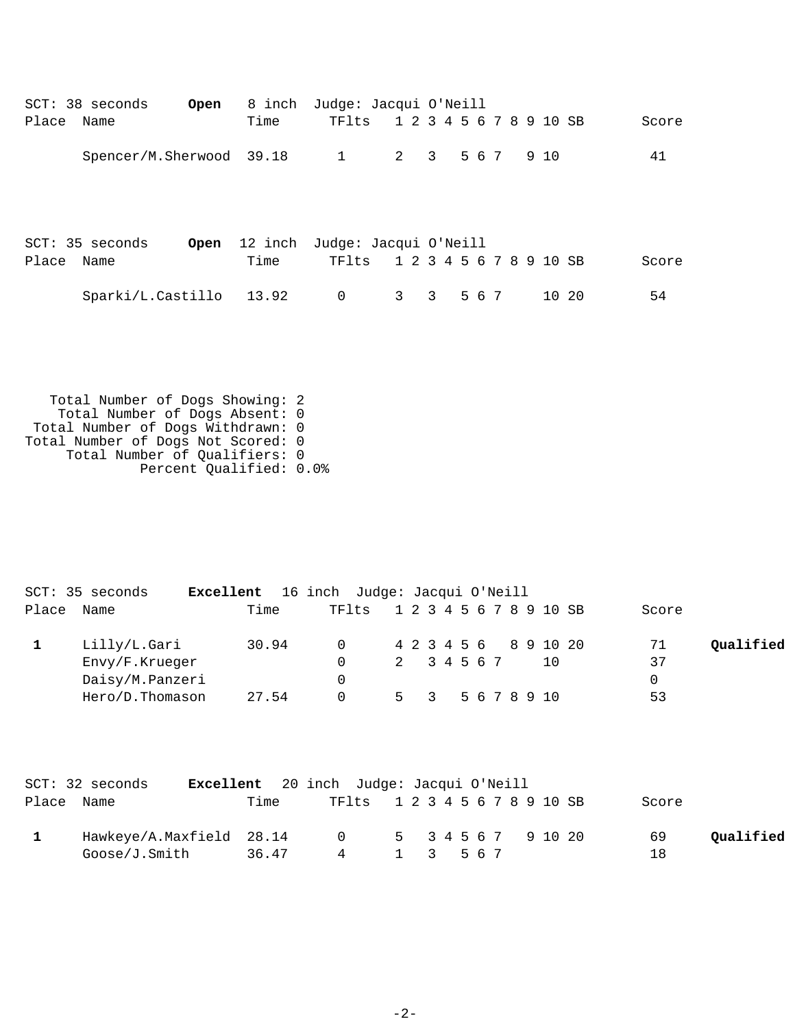|       | $SCT: 38$ seconds        | Open |      | 8 inch Judge: Jacqui O'Neill                                   |                         |                |       |  |       |       |
|-------|--------------------------|------|------|----------------------------------------------------------------|-------------------------|----------------|-------|--|-------|-------|
| Place | Name                     |      | Time | TFlts                                                          | 1 2 3 4 5 6 7 8 9 10 SB |                |       |  |       | Score |
|       | Spencer/M.Sherwood 39.18 |      |      | $\overline{1}$                                                 | $2 \quad 3$             |                | 5 6 7 |  | 9 10  | 41    |
| Place | SCT: 35 seconds<br>Name  | Open | Time | 12 inch Judge: Jacqui O'Neill<br>TF1ts 1 2 3 4 5 6 7 8 9 10 SB |                         |                |       |  |       | Score |
|       | Sparki/L.Castillo 13.92  |      |      | $\mathbf 0$                                                    | $3^{\circ}$             | 3 <sup>7</sup> | 567   |  | 10 20 | 54    |

|       | SCT: 35 seconds | Excellent | 16 inch Judge: Jacqui O'Neill |             |                         |     |       |           |
|-------|-----------------|-----------|-------------------------------|-------------|-------------------------|-----|-------|-----------|
| Place | Name            | Time      | TFlts                         |             | 1 2 3 4 5 6 7 8 9 10 SB |     | Score |           |
|       | Lilly/L.Gari    | 30.94     | $\Omega$                      |             | 4 2 3 4 5 6 8 9 10 20   |     | 71    | Qualified |
|       | Envy/F.Krueger  |           |                               | 2 3 4 5 6 7 |                         | 1 O | 37    |           |
|       | Daisy/M.Panzeri |           | 0                             |             |                         |     | 0     |           |
|       | Hero/D.Thomason | 27.54     | 0                             |             | 5 3 5 6 7 8 9 10        |     | 53    |           |

|            | $SCT: 32$ seconds        |       | Excellent 20 inch Judge: Jacqui O'Neill |  |  |  |  |  |       |           |
|------------|--------------------------|-------|-----------------------------------------|--|--|--|--|--|-------|-----------|
| Place Name |                          | Time  | TF1ts 1 2 3 4 5 6 7 8 9 10 SB           |  |  |  |  |  | Score |           |
|            | Hawkeye/A.Maxfield 28.14 |       | 0 5 3 4 5 6 7 9 10 20                   |  |  |  |  |  | 69    | Oualified |
|            | Goose/J.Smith            | 36.47 | 4 1 3 5 6 7                             |  |  |  |  |  | 18    |           |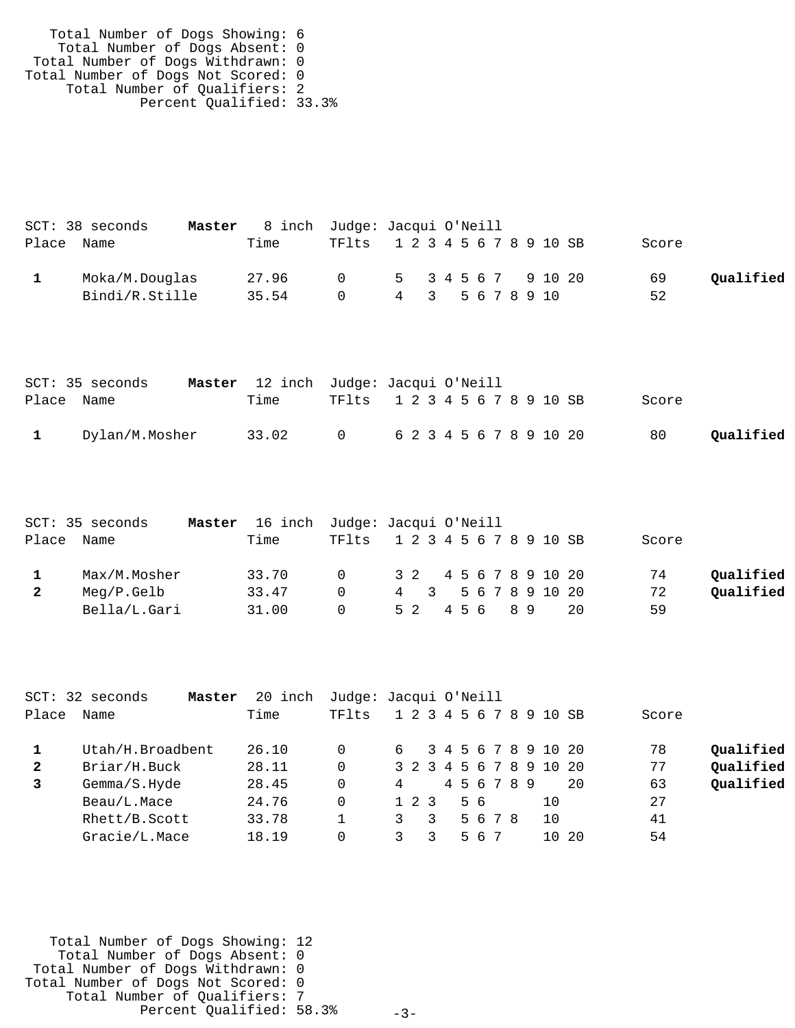| Total Number of Dogs Showing: 6    |  |
|------------------------------------|--|
| Total Number of Dogs Absent: 0     |  |
| Total Number of Dogs Withdrawn: 0  |  |
| Total Number of Dogs Not Scored: 0 |  |
| Total Number of Qualifiers: 2      |  |
| Percent Qualified: 33.3%           |  |

|            | SCT: 38 seconds | 8 inch Judge: Jacqui O'Neill<br>Master |                               |                  |  |  |  |       |           |
|------------|-----------------|----------------------------------------|-------------------------------|------------------|--|--|--|-------|-----------|
| Place Name |                 | Time                                   | TF1ts 1 2 3 4 5 6 7 8 9 10 SB |                  |  |  |  | Score |           |
|            | Moka/M.Douglas  | 27.96                                  | 0 5 3 4 5 6 7 9 10 20         |                  |  |  |  | 69    | Oualified |
|            | Bindi/R.Stille  | 35.54                                  | $\cap$                        | 4 3 5 6 7 8 9 10 |  |  |  | 52    |           |

|            | SCT: 35 seconds | Master 12 inch Judge: Jacqui O'Neill |  |                               |  |       |           |
|------------|-----------------|--------------------------------------|--|-------------------------------|--|-------|-----------|
| Place Name |                 | Time                                 |  | TF1ts 1 2 3 4 5 6 7 8 9 10 SB |  | Score |           |
|            | Dylan/M.Mosher  | 33.02                                |  | 0   6 2 3 4 5 6 7 8 9 10 20   |  | 80    | Qualified |

|            | SCT: 35 seconds | Master 16 inch Judge: Jacqui O'Neill |          |                         |               |  |  |  |                       |     |       |           |
|------------|-----------------|--------------------------------------|----------|-------------------------|---------------|--|--|--|-----------------------|-----|-------|-----------|
| Place Name |                 | Time                                 | TFlts    | 1 2 3 4 5 6 7 8 9 10 SB |               |  |  |  |                       |     | Score |           |
|            | Max/M.Mosher    | 33.70                                | $\Omega$ |                         |               |  |  |  | 3 2 4 5 6 7 8 9 10 20 |     | 74    | Oualified |
| 2          | Meg/P.Gelb      | 33.47                                | $\cap$   |                         |               |  |  |  | 4 3 5 6 7 8 9 10 20   |     | 72    | Oualified |
|            | Bella/L.Gari    | 31.00                                | $\cap$   |                         | 5 2 4 5 6 8 9 |  |  |  |                       | -20 | 59    |           |

|       | SCT: 32 seconds<br>Master | 20 inch | Judge: Jacqui O'Neill |   |             |  |     |             |  |                         |      |       |           |
|-------|---------------------------|---------|-----------------------|---|-------------|--|-----|-------------|--|-------------------------|------|-------|-----------|
| Place | Name                      | Time    | TFlts                 |   |             |  |     |             |  | 1 2 3 4 5 6 7 8 9 10 SB |      | Score |           |
|       | Utah/H.Broadbent          | 26.10   |                       | 6 |             |  |     |             |  | 3 4 5 6 7 8 9 10 20     |      | 78    | Qualified |
| 2     | Briar/H.Buck              | 28.11   |                       |   |             |  |     |             |  | 3 2 3 4 5 6 7 8 9 10 20 |      | 77    | Qualified |
|       | Gemma/S.Hyde              | 28.45   |                       | 4 |             |  |     | 4 5 6 7 8 9 |  |                         | 20   | 63    | Qualified |
|       | Beau/L.Mace               | 24.76   |                       |   | $1 \t2 \t3$ |  | 56  |             |  | 1 O                     |      | 27    |           |
|       | Rhett/B.Scott             | 33.78   |                       |   | 3           |  |     | 5678        |  | 1 O                     |      | 41    |           |
|       | Gracie/L.Mace             | 18.19   |                       |   |             |  | 567 |             |  | 1 N                     | - 20 | 54    |           |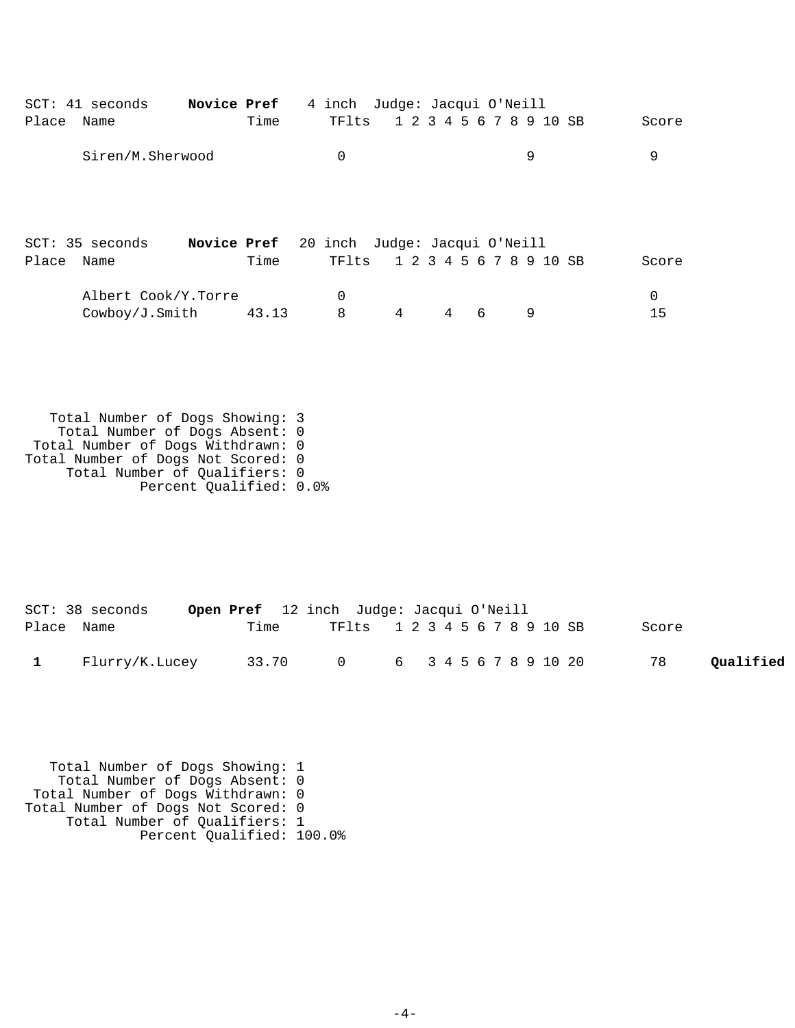| Place | $SCT: 41$ seconds<br>Name | Novice Pref | Time  | 4 inch Judge: Jacqui O'Neill<br>TFlts |   |                |   | 1 2 3 4 5 6 7 8 9 10 SB | Score |
|-------|---------------------------|-------------|-------|---------------------------------------|---|----------------|---|-------------------------|-------|
|       | Siren/M.Sherwood          |             |       | $\Omega$                              |   |                |   | 9                       | 9     |
|       |                           |             |       |                                       |   |                |   |                         |       |
|       | SCT: 35 seconds           | Novice Pref |       | 20 inch Judge: Jacqui O'Neill         |   |                |   |                         |       |
| Place | Name                      |             | Time  | TFlts                                 |   |                |   | 1 2 3 4 5 6 7 8 9 10 SB | Score |
|       | Albert Cook/Y.Torre       |             |       | 0                                     |   |                |   |                         | 0     |
|       | Cowboy/J.Smith            |             | 43.13 | 8                                     | 4 | $\overline{4}$ | 6 | 9                       | 15    |
|       |                           |             |       |                                       |   |                |   |                         |       |

 Total Number of Dogs Showing: 3 Total Number of Dogs Absent: 0 Total Number of Dogs Withdrawn: 0 Total Number of Dogs Not Scored: 0 Total Number of Qualifiers: 0 Percent Qualified: 0.0%

|            | $SCT: 38$ seconds |       | <b>Open Pref</b> 12 inch Judge: Jacqui O'Neill |  |  |  |  |  |       |           |
|------------|-------------------|-------|------------------------------------------------|--|--|--|--|--|-------|-----------|
| Place Name |                   | Time  | TF1ts 1 2 3 4 5 6 7 8 9 10 SB                  |  |  |  |  |  | Score |           |
|            | Flurry/K.Lucey    | 33.70 | 0 6 3 4 5 6 7 8 9 10 20                        |  |  |  |  |  | 78    | Qualified |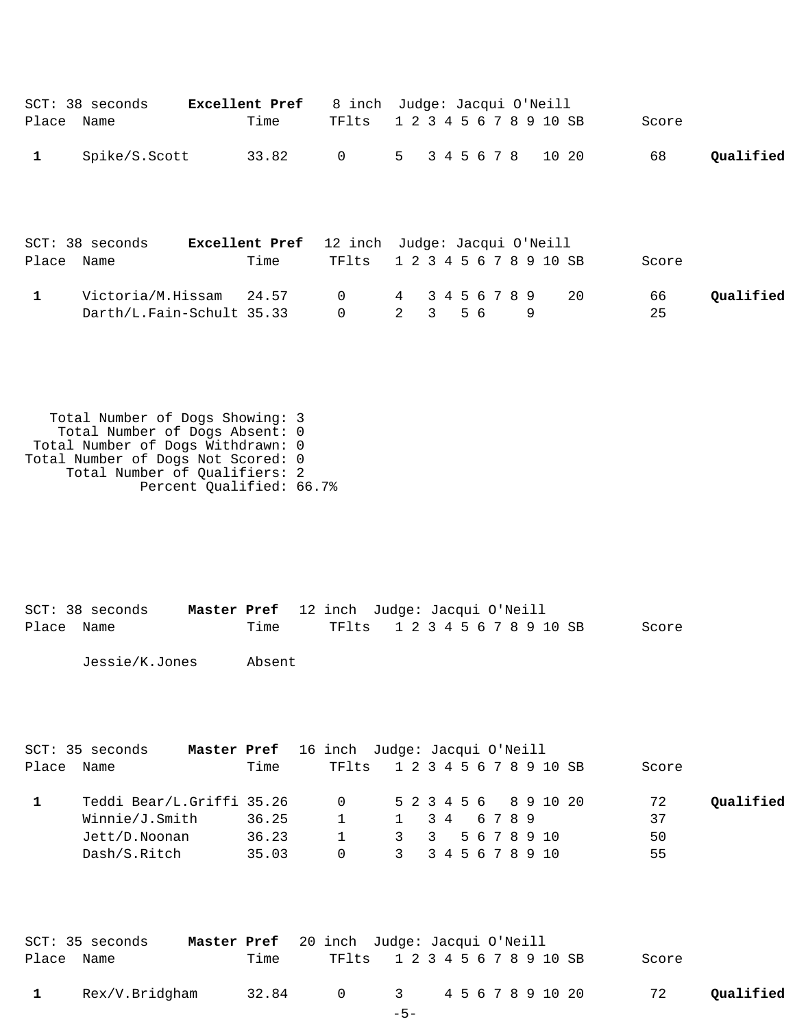|                            | SCT: 38 seconds                                                                                                                                                               |             | Excellent Pref           | 8 inch Judge: Jacqui O'Neill                                                |                         |                                                    |     |                    |    |           |       |                         |           |
|----------------------------|-------------------------------------------------------------------------------------------------------------------------------------------------------------------------------|-------------|--------------------------|-----------------------------------------------------------------------------|-------------------------|----------------------------------------------------|-----|--------------------|----|-----------|-------|-------------------------|-----------|
| Place Name                 |                                                                                                                                                                               |             | Time                     | TFlts                                                                       | 1 2 3 4 5 6 7 8 9 10 SB |                                                    |     |                    |    |           |       | Score                   |           |
| $\mathbf{1}$               | Spike/S.Scott                                                                                                                                                                 |             | 33.82                    | $\overline{0}$                                                              | $5 -$                   |                                                    |     | 3 4 5 6 7 8        |    |           | 10 20 | 68                      | Qualified |
| Place Name                 | SCT: 38 seconds                                                                                                                                                               |             | Time                     | Excellent Pref 12 inch Judge: Jacqui O'Neill<br>TFlts                       | 1 2 3 4 5 6 7 8 9 10 SB |                                                    |     |                    |    |           |       | Score                   |           |
| $\mathbf{1}$               | Victoria/M.Hissam<br>Darth/L.Fain-Schult 35.33                                                                                                                                |             | 24.57                    | 0<br>$\mathbf 0$                                                            | 4<br>$\overline{2}$     | 3 <sup>7</sup>                                     | 5 6 | 3 4 5 6 7 8 9      |    | 9         | 20    | 66<br>25                | Qualified |
|                            | Total Number of Dogs Showing: 3<br>Total Number of Dogs Absent: 0<br>Total Number of Dogs Withdrawn: 0<br>Total Number of Dogs Not Scored: 0<br>Total Number of Qualifiers: 2 |             | Percent Qualified: 66.7% |                                                                             |                         |                                                    |     |                    |    |           |       |                         |           |
| Place Name                 | SCT: 38 seconds<br>Jessie/K.Jones                                                                                                                                             | Master Pref | Time<br>Absent           | 12 inch Judge: Jacqui O'Neill<br>TFlts                                      | 1 2 3 4 5 6 7 8 9 10 SB |                                                    |     |                    |    |           |       | Score                   |           |
| Place Name<br>$\mathbf{1}$ | SCT: 35 seconds<br>Teddi Bear/L.Griffi 35.26<br>Winnie/J.Smith<br>Jett/D.Noonan                                                                                               | Master Pref | Time<br>36.25<br>36.23   | 16 inch Judge: Jacqui O'Neill<br>TFlts<br>0<br>$\mathbf{1}$<br>$\mathbf{1}$ | $\mathbf{1}$<br>3       | 1 2 3 4 5 6 7 8 9 10 SB<br>5 2 3 4 5 6<br>3 4<br>3 |     | 67<br>5 6 7 8 9 10 | 89 | 8 9 10 20 |       | Score<br>72<br>37<br>50 | Qualified |
|                            | Dash/S.Ritch                                                                                                                                                                  |             | 35.03                    | $\Omega$                                                                    | $\mathbf{3}$            |                                                    |     | 3 4 5 6 7 8 9 10   |    |           |       | 55                      |           |

| SCT: 35 seconds | <b>Master Pref</b> 20 inch Judge: Jacqui O'Neill |       |                               |       |  |  |  |  |  |       |           |
|-----------------|--------------------------------------------------|-------|-------------------------------|-------|--|--|--|--|--|-------|-----------|
| Place Name      |                                                  | Time  | TF1ts 1 2 3 4 5 6 7 8 9 10 SB |       |  |  |  |  |  | Score |           |
| Rex/V.Bridgham  |                                                  | 32.84 | 0 3 4 5 6 7 8 9 10 20         |       |  |  |  |  |  | 72    | Oualified |
|                 |                                                  |       |                               | $-5-$ |  |  |  |  |  |       |           |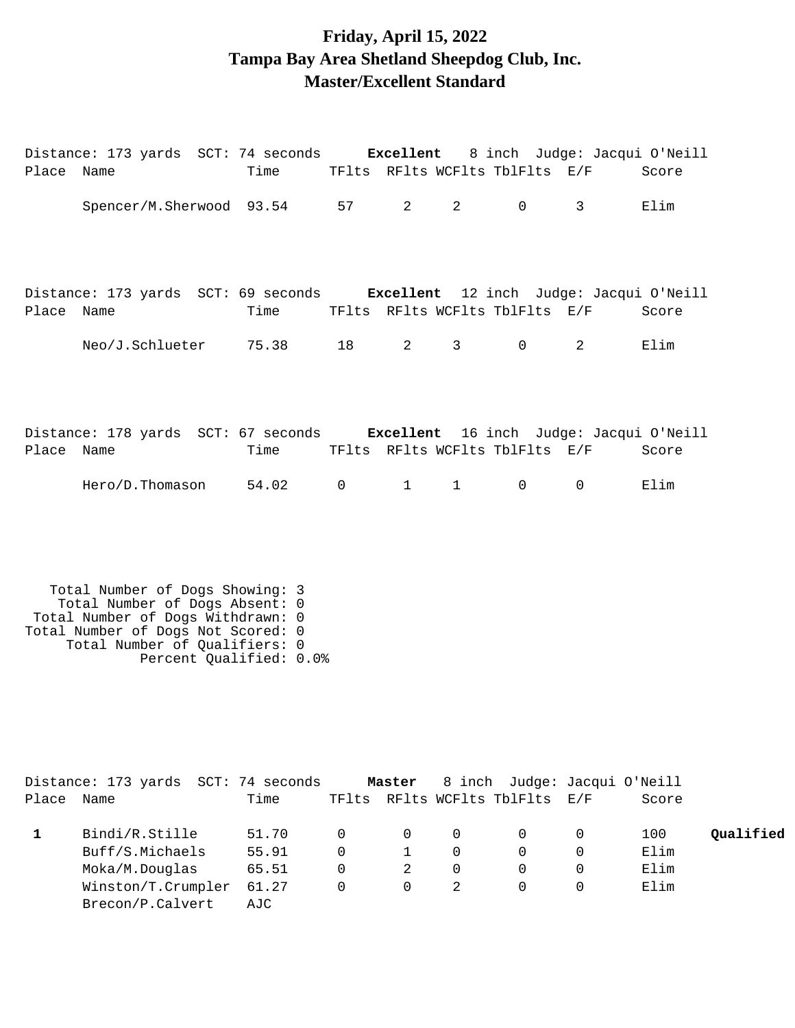### **Friday, April 15, 2022 Tampa Bay Area Shetland Sheepdog Club, Inc. Master/Excellent Standard**

|            |  | Distance: 173 yards SCT: 74 seconds Excellent 8 inch Judge: Jacqui O'Neill  |              |             |             |             |       |
|------------|--|-----------------------------------------------------------------------------|--------------|-------------|-------------|-------------|-------|
| Place Name |  | Time TFIts RFIts WCFIts TblFIts E/F Score                                   |              |             |             |             |       |
|            |  | Spencer/M.Sherwood 93.54 57 2 2                                             |              |             | $\Omega$    | 3           | Elim  |
|            |  | Distance: 173 yards SCT: 69 seconds Excellent 12 inch Judge: Jacqui O'Neill |              |             |             |             |       |
| Place Name |  | Time TFlts RFlts WCFlts TblFlts E/F                                         |              |             |             |             | Score |
|            |  | $Neo/J.Schlueter$ $75.38$ $18$ $2$ $3$                                      |              |             | $\Omega$    | 2           | Elim  |
|            |  | Distance: 178 yards SCT: 67 seconds Excellent 16 inch Judge: Jacqui O'Neill |              |             |             |             |       |
| Place Name |  | Time TFlts RFlts WCFlts TblFlts E/F                                         |              |             |             |             | Score |
|            |  | Hero/D.Thomason 54.02                                                       | $\mathsf{O}$ | $1 \quad 1$ | $\mathbf 0$ | $\mathbf 0$ | Elim  |

|       | Distance: 173 yards SCT: 74 seconds |       |          | Master         |          | 8 inch Judge: Jacqui O'Neill   |       |           |
|-------|-------------------------------------|-------|----------|----------------|----------|--------------------------------|-------|-----------|
| Place | Name                                | Time  |          |                |          | TFlts RFlts WCFlts TblFlts E/F | Score |           |
|       | Bindi/R.Stille                      | 51.70 |          | $\Omega$       | 0        |                                | 100   | Qualified |
|       | Buff/S.Michaels                     | 55.91 | $\Omega$ |                | $\Omega$ | $\Omega$                       | Elim  |           |
|       | Moka/M.Douglas                      | 65.51 | $\Omega$ | 2              | $\Omega$ | $\Omega$                       | Elim  |           |
|       | Winston/T.Crumpler                  | 61.27 | $\Omega$ | $\overline{0}$ |          | 0                              | Elim  |           |
|       | Brecon/P.Calvert                    | AJC   |          |                |          |                                |       |           |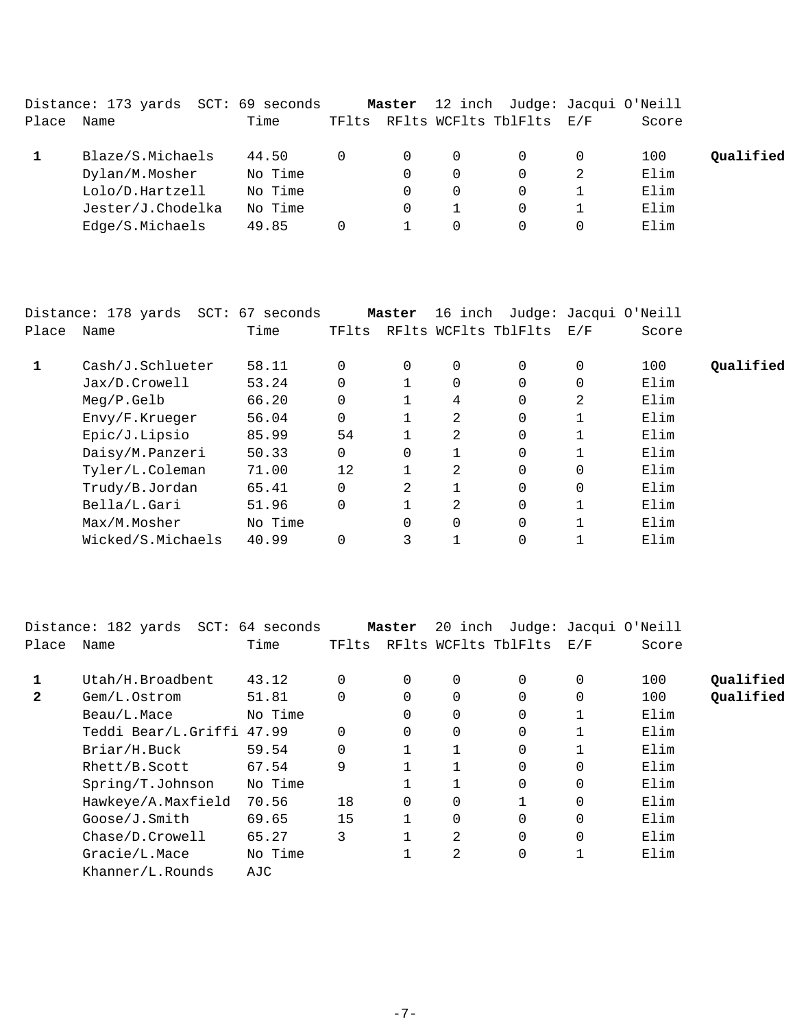|       | Distance: 173 yards SCT: 69 seconds |         |       | Master   |          | 12 inch Judge: Jacqui O'Neill |   |       |           |
|-------|-------------------------------------|---------|-------|----------|----------|-------------------------------|---|-------|-----------|
| Place | Name                                | Time    | TFlts |          |          | RFlts WCFlts TblFlts E/F      |   | Score |           |
|       | Blaze/S.Michaels                    | 44.50   |       | $\Omega$ | $\Omega$ |                               | 0 | 100   | Qualified |
|       | Dylan/M.Mosher                      | No Time |       | $\Omega$ | 0        |                               |   | Elim  |           |
|       | Lolo/D.Hartzell                     | No Time |       | 0        | 0        | 0                             |   | Elim  |           |
|       | Jester/J.Chodelka                   | No Time |       | 0        |          |                               |   | Elim  |           |
|       | Edge/S.Michaels                     | 49.85   |       |          | 0        | 0                             | 0 | Elim  |           |

|       | Distance: 178 yards SCT: 67 seconds |         |          | Master         | 16 inch      |                      |             | Judge: Jacqui O'Neill |           |
|-------|-------------------------------------|---------|----------|----------------|--------------|----------------------|-------------|-----------------------|-----------|
| Place | Name                                | Time    | TFlts    |                |              | RFlts WCFlts TblFlts | E/F         | Score                 |           |
|       | Cash/J.Schlueter                    | 58.11   | $\Omega$ | $\Omega$       | 0            | $\Omega$             | 0           | 100                   | Qualified |
|       | Jax/D.Crowell                       | 53.24   | $\Omega$ |                | 0            | 0                    | 0           | Elim                  |           |
|       | $Meq/P$ . Gelb                      | 66.20   | 0        |                | 4            | 0                    | 2           | Elim                  |           |
|       | Envy/F.Krueger                      | 56.04   | $\Omega$ |                | 2            | 0                    |             | Elim                  |           |
|       | Epic/J.Lipsio                       | 85.99   | 54       |                | 2            | 0                    |             | Elim                  |           |
|       | Daisy/M.Panzeri                     | 50.33   | $\Omega$ |                |              | 0                    |             | Elim                  |           |
|       | Tyler/L.Coleman                     | 71.00   | 12       |                | 2            | 0                    | 0           | Elim                  |           |
|       | Trudy/B.Jordan                      | 65.41   | $\Omega$ | $\mathfrak{D}$ | $\mathbf{1}$ | $\Omega$             | $\mathbf 0$ | Elim                  |           |
|       | Bella/L.Gari                        | 51.96   | $\Omega$ |                | 2            | 0                    |             | Elim                  |           |
|       | Max/M.Mosher                        | No Time |          |                | $\mathbf 0$  | 0                    |             | Elim                  |           |
|       | Wicked/S.Michaels                   | 40.99   |          | 3              |              | 0                    |             | Elim                  |           |

| Distance: 182 yards |         |                                              |             |          |          |                                 |       |                       |
|---------------------|---------|----------------------------------------------|-------------|----------|----------|---------------------------------|-------|-----------------------|
| Name                | Time    | TFlts                                        |             |          |          | E/F                             | Score |                       |
| Utah/H.Broadbent    | 43.12   | $\Omega$                                     | $\Omega$    | $\Omega$ | $\Omega$ | $\Omega$                        | 100   | Oualified             |
| Gem/L.Ostrom        | 51.81   | 0                                            | $\mathbf 0$ | 0        | 0        | 0                               | 100   | Qualified             |
| Beau/L.Mace         | No Time |                                              | $\Omega$    | 0        | $\Omega$ |                                 | Elim  |                       |
|                     |         | $\Omega$                                     | $\Omega$    | 0        | 0        |                                 | Elim  |                       |
| Briar/H.Buck        | 59.54   | 0                                            |             |          | $\Omega$ |                                 | Elim  |                       |
| Rhett/B.Scott       | 67.54   | 9                                            |             |          | $\Omega$ | $\Omega$                        | Elim  |                       |
| Spring/T.Johnson    | No Time |                                              |             |          | $\Omega$ | $\Omega$                        | Elim  |                       |
| Hawkeye/A.Maxfield  | 70.56   | 18                                           | $\Omega$    | 0        |          | 0                               | Elim  |                       |
| Goose/J.Smith       | 69.65   | 15                                           |             | 0        | $\Omega$ | 0                               | Elim  |                       |
| Chase/D.Crowell     | 65.27   | 3                                            |             | 2        | $\Omega$ | $\Omega$                        | Elim  |                       |
| Gracie/L.Mace       | No Time |                                              |             | 2        | 0        | 1                               | Elim  |                       |
| Khanner/L.Rounds    | AJC     |                                              |             |          |          |                                 |       |                       |
|                     |         | SCT: 64 seconds<br>Teddi Bear/L.Griffi 47.99 |             | Master   |          | 20 inch<br>RFlts WCFlts TblFlts |       | Judge: Jacqui O'Neill |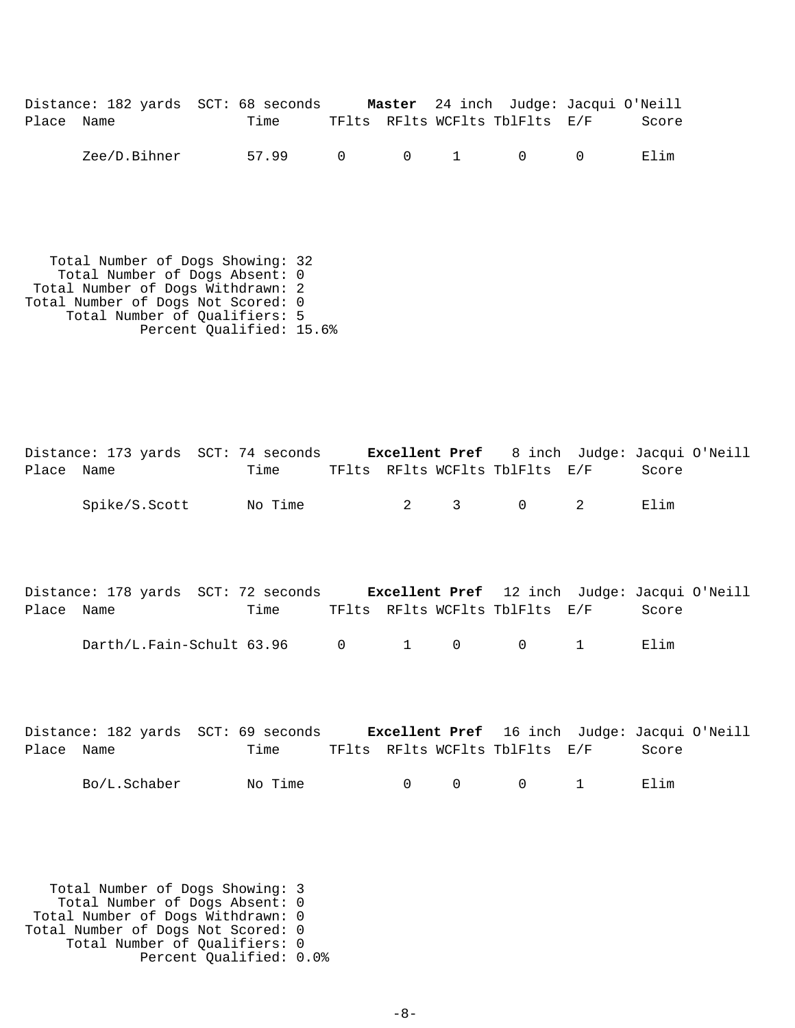|            | Distance: 182 yards SCT: 68 seconds |       |  | Master 24 inch Judge: Jacqui O'Neill    |       |
|------------|-------------------------------------|-------|--|-----------------------------------------|-------|
| Place Name |                                     | Time  |  | TFlts RFlts WCFlts TblFlts E/F          | Score |
|            | Zee/D.Bihner                        | 57.99 |  | $0 \qquad 0 \qquad 1 \qquad 0 \qquad 0$ | Elim  |

 Total Number of Dogs Showing: 32 Total Number of Dogs Absent: 0 Total Number of Dogs Withdrawn: 2 Total Number of Dogs Not Scored: 0 Total Number of Qualifiers: 5 Percent Qualified: 15.6%

Distance: 173 yards SCT: 74 seconds **Excellent Pref** 8 inch Judge: Jacqui O'Neill Place Name Time TFlts RFlts WCFlts TblFlts E/F Score Spike/S.Scott No Time 2 3 0 2 Elim

|            | Distance: 178 yards SCT: 72 seconds |      | <b>Excellent Pref</b> 12 inch Judge: Jacqui O'Neill |  |       |  |
|------------|-------------------------------------|------|-----------------------------------------------------|--|-------|--|
| Place Name |                                     | Time | TFlts RFlts WCFlts TblFlts E/F                      |  | Score |  |
|            | Darth/L.Fain-Schult 63.96           |      | $0 \qquad 1 \qquad 0 \qquad 0 \qquad 1$             |  | Elim  |  |

|            |              | Distance: 182 yards SCT: 69 seconds |        | <b>Excellent Pref</b> 16 inch Judge: Jacqui O'Neill |       |  |
|------------|--------------|-------------------------------------|--------|-----------------------------------------------------|-------|--|
| Place Name |              | Time                                |        | TFlts RFlts WCFlts TblFlts E/F                      | Score |  |
|            | Bo/L.Schaber | No Time                             | $\cap$ | $\begin{matrix} 0 & 0 & 1 \end{matrix}$             | Elim  |  |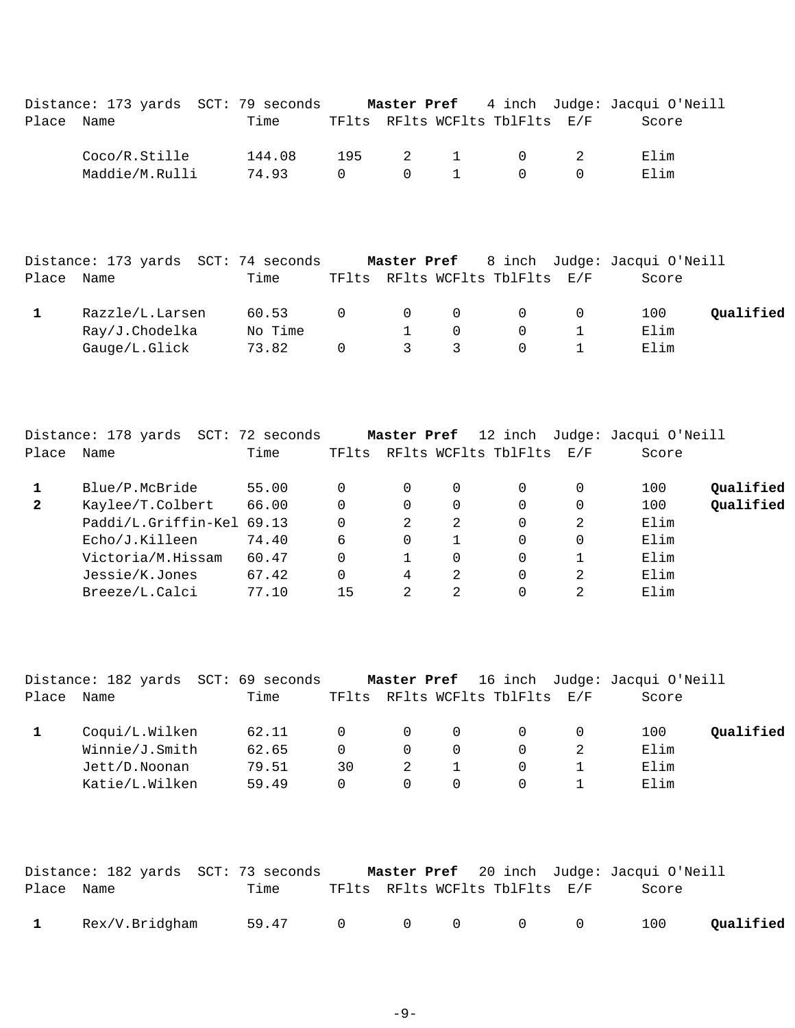|            | Distance: 173 yards SCT: 79 seconds Master Pref 4 inch Judge: Jacqui O'Neill |        |                |  |                                |       |
|------------|------------------------------------------------------------------------------|--------|----------------|--|--------------------------------|-------|
| Place Name |                                                                              | Time   |                |  | TFlts RFlts WCFlts TblFlts E/F | Score |
|            | Coco/R.Stille                                                                | 144.08 |                |  | 195 2 1 0 2                    | Elim  |
|            | Maddie/M.Rulli                                                               | 74.93  | $\overline{0}$ |  | $0 \qquad 1 \qquad 0 \qquad 0$ | Elim  |
|            |                                                                              |        |                |  |                                |       |
|            |                                                                              |        |                |  |                                |       |

|            | Distance: 173 yards SCT: 74 seconds |         |          |               |          |                                | <b>Master Pref</b> 8 inch Judge: Jacqui O'Neill |           |
|------------|-------------------------------------|---------|----------|---------------|----------|--------------------------------|-------------------------------------------------|-----------|
| Place Name |                                     | Time    |          |               |          | TFlts RFlts WCFlts TblFlts E/F | Score                                           |           |
|            | Razzle/L.Larsen                     | 60.53   | $\Omega$ | $\Omega$      | $\Omega$ | $\Omega$                       | 100                                             | Oualified |
|            | Ray/J.Chodelka                      | No Time |          |               | $\Omega$ |                                | Elim                                            |           |
|            | Gauge/L.Glick                       | 73.82   | $\Omega$ | $\mathcal{R}$ |          |                                | Elim                                            |           |

|              | Distance: 178 yards SCT: 72 seconds |       |       | Master Pref |          | 12 inch                  |             | Judge: Jacqui O'Neill |           |
|--------------|-------------------------------------|-------|-------|-------------|----------|--------------------------|-------------|-----------------------|-----------|
| Place        | Name                                | Time  | TFlts |             |          | RFlts WCFlts TblFlts E/F |             | Score                 |           |
|              | Blue/P.McBride                      | 55.00 |       | 0           | $\Omega$ | 0                        | 0           | 100                   | Qualified |
| $\mathbf{2}$ | Kaylee/T.Colbert                    | 66.00 |       | 0           | $\Omega$ | 0                        | $\mathbf 0$ | 100                   | Qualified |
|              | Paddi/L.Griffin-Kel 69.13           |       |       | 2           | 2        | 0                        | 2           | Elim                  |           |
|              | Echo/J.Killeen                      | 74.40 | 6     | $\Omega$    |          | 0                        | $\Omega$    | Elim                  |           |
|              | Victoria/M.Hissam                   | 60.47 |       |             | $\Omega$ | 0                        |             | Elim                  |           |
|              | Jessie/K.Jones                      | 67.42 |       | 4           | 2        | 0                        | 2           | Elim                  |           |
|              | Breeze/L.Calci                      | 77.10 | 15    | 2           | 2        | 0                        | 2           | Elim                  |           |
|              |                                     |       |       |             |          |                          |             |                       |           |

|       |                | Distance: 182 yards SCT: 69 seconds |              |          |          |                          | Master Pref 16 inch Judge: Jacqui O'Neill |           |
|-------|----------------|-------------------------------------|--------------|----------|----------|--------------------------|-------------------------------------------|-----------|
| Place | Name           | Time                                | TFlts        |          |          | RFlts WCFlts TblFlts E/F | Score                                     |           |
|       | Coqui/L.Wilken | 62.11                               | $\Omega$     | $\Omega$ | 0        | $\Omega$                 | 100                                       | Oualified |
|       | Winnie/J.Smith | 62.65                               | <sup>n</sup> | $\Omega$ | $\Omega$ | $\Omega$                 | Elim                                      |           |
|       | Jett/D.Noonan  | 79.51                               | 30           |          |          | $\Omega$                 | Elim                                      |           |
|       | Katie/L.Wilken | 59.49                               | 0            | $\Omega$ | $\Omega$ | $\Omega$                 | Elim                                      |           |

|              | Distance: 182 yards SCT: 73 seconds |         |  |                                             | <b>Master Pref</b> 20 inch Judge: Jacqui O'Neill |           |
|--------------|-------------------------------------|---------|--|---------------------------------------------|--------------------------------------------------|-----------|
| Place Name   |                                     | Time    |  | TFlts RFlts WCFlts TblFlts E/F              | Score                                            |           |
| $\mathbf{1}$ | Rex/V.Bridgham                      | 59.47 0 |  | $\begin{matrix} 0 & 0 & 0 & 0 \end{matrix}$ | 100                                              | Oualified |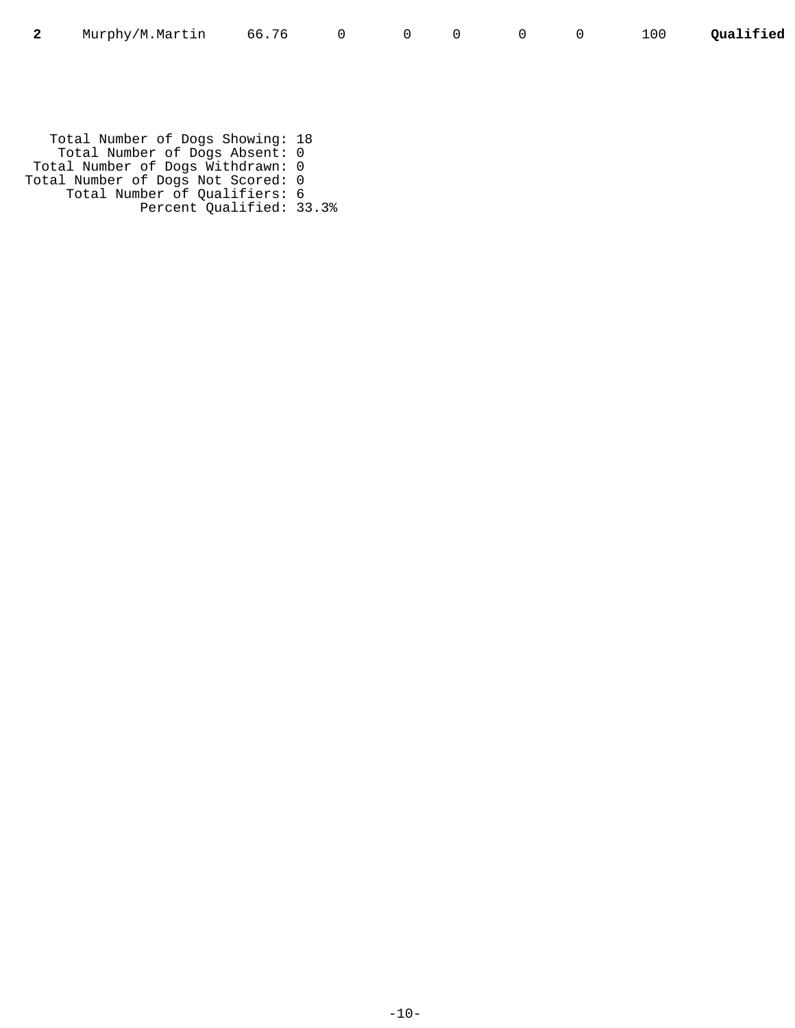|  | Murphy/M.Martin 66.76 |  |  |  |  |  |  |  | 100 Qualified |
|--|-----------------------|--|--|--|--|--|--|--|---------------|
|--|-----------------------|--|--|--|--|--|--|--|---------------|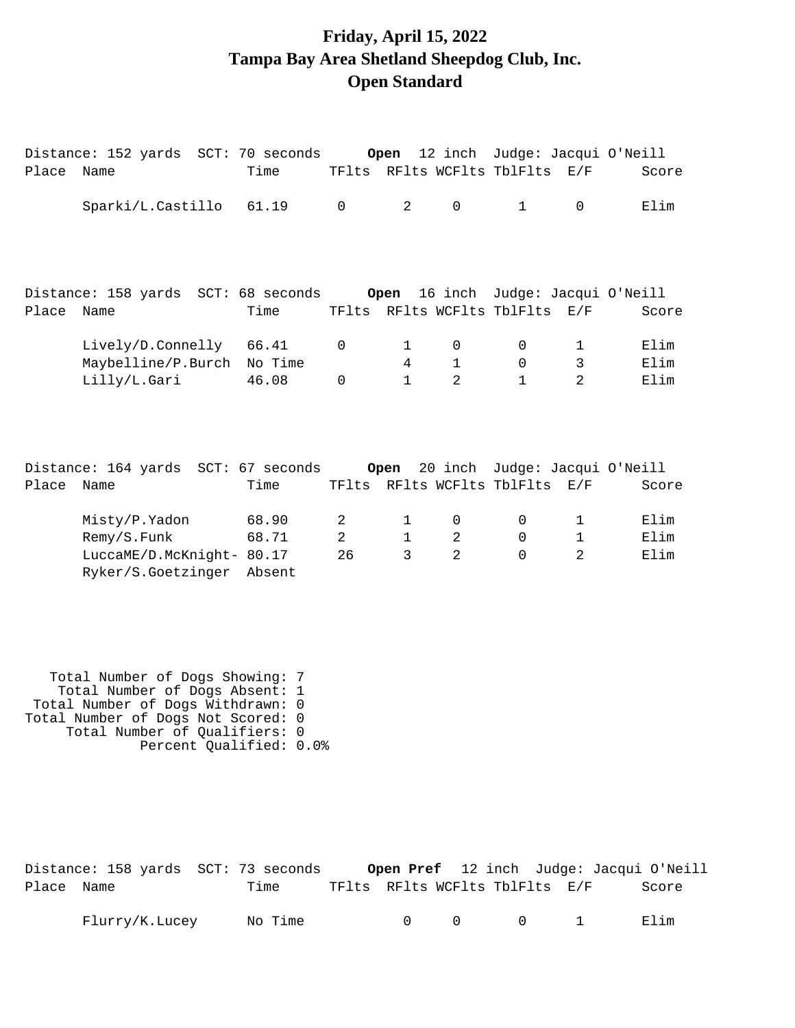# **Friday, April 15, 2022 Tampa Bay Area Shetland Sheepdog Club, Inc. Open Standard**

| Place | Distance: 152 yards SCT: 70 seconds<br>Name                                     | Time                     |                           |                                   | TFlts RFlts WCFlts TblFlts E/F      |                                            |                                                 | Open 12 inch Judge: Jacqui O'Neill<br>Score |
|-------|---------------------------------------------------------------------------------|--------------------------|---------------------------|-----------------------------------|-------------------------------------|--------------------------------------------|-------------------------------------------------|---------------------------------------------|
|       | Sparki/L.Castillo                                                               | 61.19                    | $\Omega$                  | 2                                 | $\Omega$                            | $\mathbf{1}$                               | $\Omega$                                        | Elim                                        |
| Place | Distance: 158 yards SCT: 68 seconds Open<br>Name                                | Time                     |                           |                                   | TFlts RFlts WCFlts TblFlts          |                                            | E/F                                             | 16 inch Judge: Jacqui O'Neill<br>Score      |
|       | Lively/D.Connelly 66.41<br>Maybelline/P.Burch No Time<br>Lilly/L.Gari           | 46.08                    | 0<br>$\Omega$             | $\mathbf{1}$<br>4<br>$\mathbf{1}$ | 0<br>$\mathbf{1}$<br>$\mathfrak{D}$ | $\mathbf 0$<br>$\mathbf 0$<br>$\mathbf{1}$ | $\mathbf 1$<br>$\mathfrak{Z}$<br>$\mathfrak{D}$ | Elim<br>Elim<br>Elim                        |
| Place | Distance: 164 yards SCT: 67 seconds Open<br>Name                                | Time                     |                           |                                   | TFlts RFlts WCFlts TblFlts          |                                            | E/F                                             | 20 inch Judge: Jacqui O'Neill<br>Score      |
|       | Misty/P.Yadon<br>Remy/S.Funk<br>LuccaME/D.McKnight- 80.17<br>Ryker/S.Goetzinger | 68.90<br>68.71<br>Absent | 2<br>$\overline{a}$<br>26 | $\mathbf{1}$<br>$\mathbf{1}$<br>3 | 0<br>2<br>$\mathfrak{D}$            | $\mathbf 0$<br>$\mathbf 0$<br>$\Omega$     | $\mathbf 1$<br>$\mathbf 1$<br>$\mathfrak{D}$    | Elim<br>Elim<br>Elim                        |

| Total Number of Dogs Showing: 7    |  |
|------------------------------------|--|
| Total Number of Dogs Absent: 1     |  |
| Total Number of Dogs Withdrawn: 0  |  |
| Total Number of Dogs Not Scored: 0 |  |
| Total Number of Qualifiers: 0      |  |
| Percent Qualified: 0.0%            |  |

|            | Distance: 158 yards SCT: 73 seconds |  |         |  |        |           |                                |                                        | Open Pref 12 inch Judge: Jacqui O'Neill |
|------------|-------------------------------------|--|---------|--|--------|-----------|--------------------------------|----------------------------------------|-----------------------------------------|
| Place Name |                                     |  | Time    |  |        |           | TFlts RFlts WCFlts TblFlts E/F |                                        | Score                                   |
|            | Flurry/K.Lucey                      |  | No Time |  | $\cap$ | $\bigcap$ |                                | $\begin{array}{ccc} 0 & 1 \end{array}$ | Elim                                    |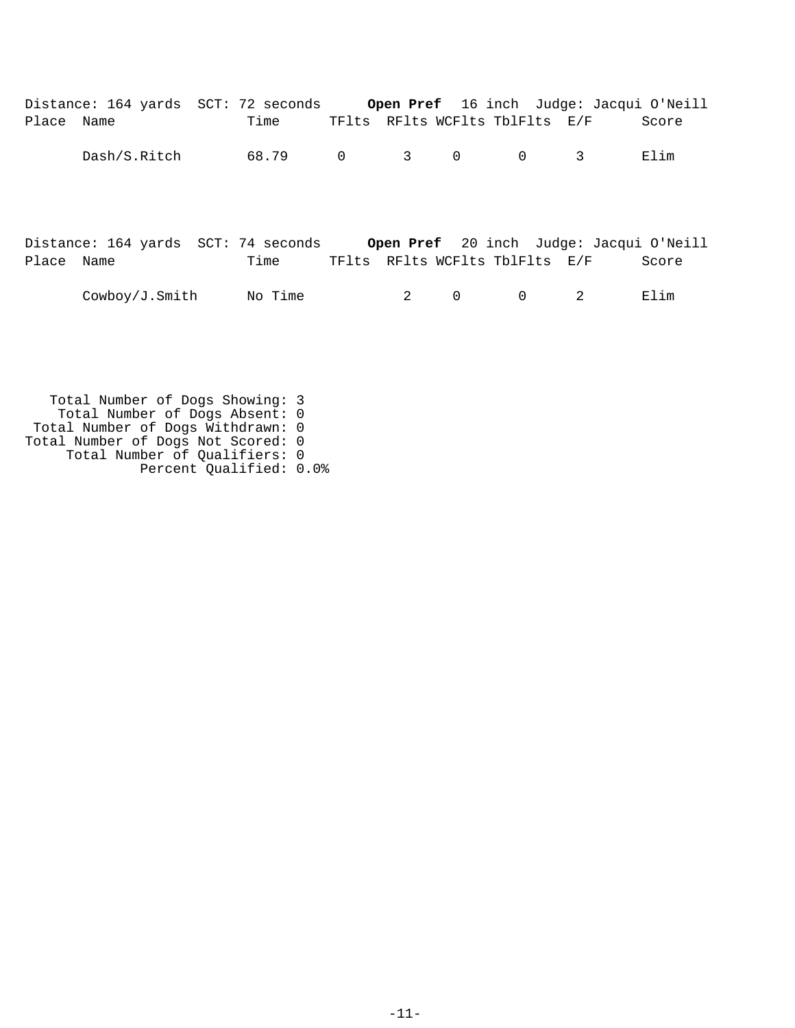|            | Distance: 164 yards SCT: 72 seconds |         |                |                  |   |                                | <b>Open Pref</b> 16 inch Judge: Jacqui O'Neill |       |
|------------|-------------------------------------|---------|----------------|------------------|---|--------------------------------|------------------------------------------------|-------|
| Place Name |                                     | Time    |                |                  |   | TFlts RFlts WCFlts TblFlts E/F |                                                | Score |
|            | Dash/S.Ritch                        | 68.79   | $\overline{0}$ | $\overline{3}$ 0 |   | 0                              | 3                                              | Elim  |
| Place Name | Distance: 164 yards SCT: 74 seconds | Time    |                |                  |   | TFlts RFlts WCFlts TblFlts E/F | <b>Open Pref</b> 20 inch Judge: Jacqui O'Neill | Score |
|            | Cowboy/J.Smith                      | No Time |                | 2                | 0 | 0                              | 2                                              | Elim  |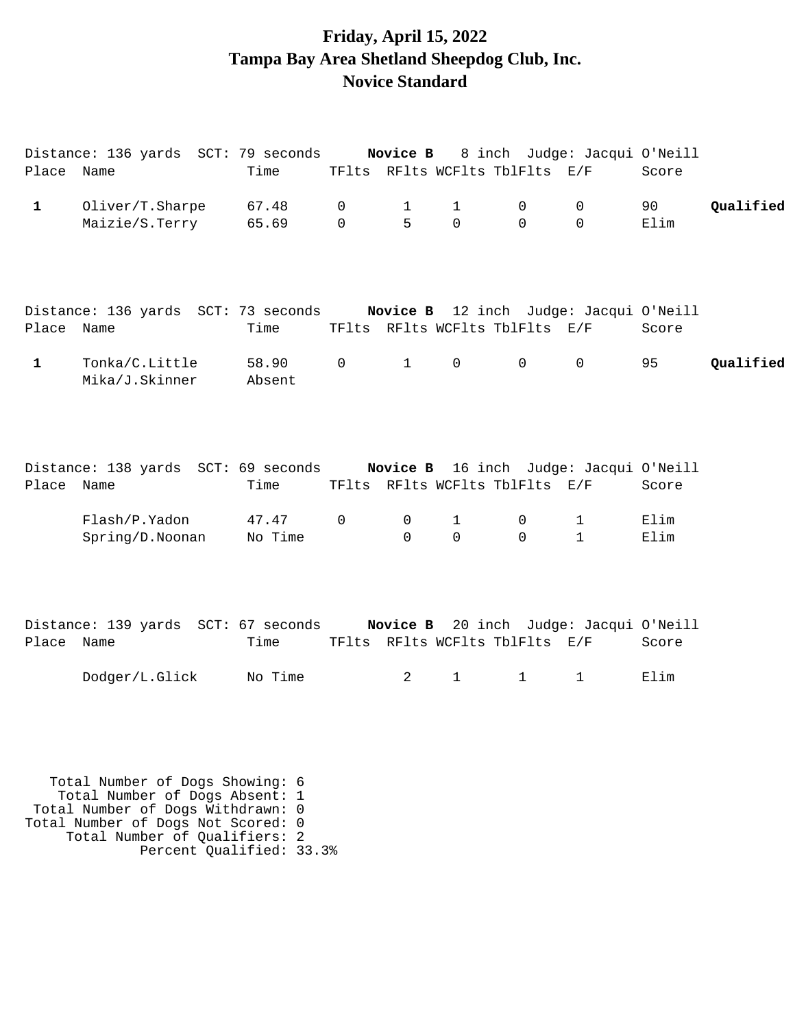## **Friday, April 15, 2022 Tampa Bay Area Shetland Sheepdog Club, Inc. Novice Standard**

| Place Name   | Distance: 136 yards SCT: 79 seconds Novice B 8 inch Judge: Jacqui O'Neill                              | Time             |                     | TFlts RFlts WCFlts TblFlts E/F             |                     |                  |                                        | Score        |           |
|--------------|--------------------------------------------------------------------------------------------------------|------------------|---------------------|--------------------------------------------|---------------------|------------------|----------------------------------------|--------------|-----------|
| $\mathbf{1}$ | Oliver/T.Sharpe<br>Maizie/S.Terry                                                                      | 67.48<br>65.69   | 0<br>$\Omega$       | $\mathbf 1$<br>5                           | 1<br>$\mathbf 0$    | 0<br>$\Omega$    | 0<br>$\Omega$                          | 90<br>Elim   | Qualified |
| Place Name   | Distance: 136 yards SCT: 73 seconds Novice B 12 inch Judge: Jacqui O'Neill                             | Time             |                     | TFlts RFlts WCFlts TblFlts E/F             |                     |                  |                                        | Score        |           |
| $\mathbf{1}$ | Tonka/C.Little<br>Mika/J.Skinner                                                                       | 58.90<br>Absent  | $\mathsf{O}\xspace$ | $\mathbf{1}$                               | $\mathsf{O}\xspace$ | $\mathsf{O}$     | $\mathbf 0$                            | 95           | Qualified |
| Place Name   | Distance: 138 yards SCT: 69 seconds                                                                    | Time             |                     | Novice B<br>TFlts RFlts WCFlts TblFlts E/F |                     |                  | 16 inch Judge: Jacqui O'Neill          | Score        |           |
|              | Flash/P.Yadon<br>Spring/D.Noonan                                                                       | 47.47<br>No Time | $\mathbf 0$         | $\mathbf 0$<br>$\Omega$                    | 1<br>$\mathbf 0$    | 0<br>$\mathbf 0$ | $\mathbf 1$<br>$\mathbf{1}$            | Elim<br>Elim |           |
| Place Name   | Distance: 139 yards SCT: 67 seconds                                                                    | Time             |                     | TFlts RFlts WCFlts TblFlts E/F             |                     |                  | Novice B 20 inch Judge: Jacqui O'Neill | Score        |           |
|              | Dodger/L.Glick                                                                                         | No Time          |                     | $\overline{a}$                             | $\mathbf{1}$        | $\mathbf{1}$     | $\mathbf 1$                            | Elim         |           |
|              | Total Number of Dogs Showing: 6<br>Total Number of Dogs Absent: 1<br>Total Number of Dogs Withdrawn: 0 |                  |                     |                                            |                     |                  |                                        |              |           |

Total Number of Dogs Not Scored: 0 Total Number of Qualifiers: 2

Percent Qualified: 33.3%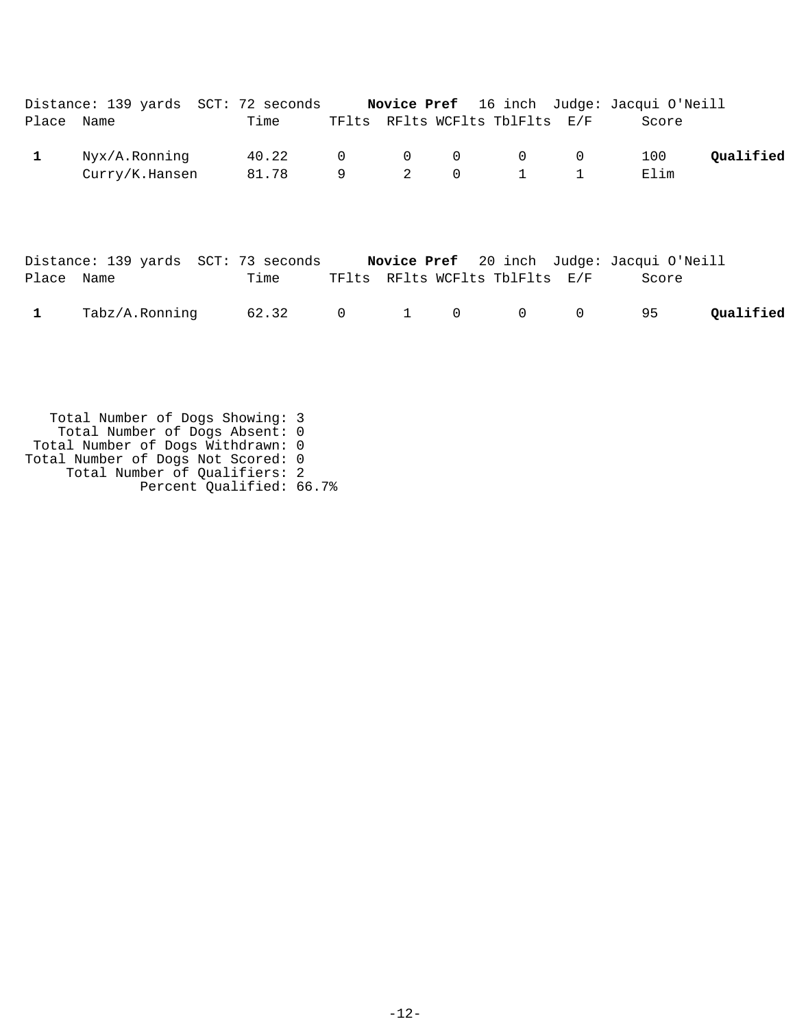|            |                | Distance: 139 yards SCT: 72 seconds |  |                                   |                                | <b>Novice Pref</b> 16 inch Judge: Jacqui O'Neill |           |
|------------|----------------|-------------------------------------|--|-----------------------------------|--------------------------------|--------------------------------------------------|-----------|
| Place Name |                | Time                                |  |                                   | TFlts RFlts WCFlts TblFlts E/F | Score                                            |           |
|            | Nyx/A.Ronning  | 40.22                               |  | $\begin{matrix}0&0&0\end{matrix}$ | $\overline{0}$ 0               | 100                                              | Oualified |
|            | Curry/K.Hansen | 81.78                               |  | 2 0                               | $1 \quad 1$                    | Elim                                             |           |
|            |                |                                     |  |                                   |                                |                                                  |           |

|              | Distance: 139 yards SCT: 73 seconds |      |                    |  |                                | Novice Pref 20 inch Judge: Jacqui O'Neill |           |
|--------------|-------------------------------------|------|--------------------|--|--------------------------------|-------------------------------------------|-----------|
| Place Name   |                                     | Time |                    |  | TFlts RFlts WCFlts TblFlts E/F | Score                                     |           |
| $\mathbf{1}$ | Tabz/A.Ronning                      |      | 62.32 0 1 0 0 0 95 |  |                                |                                           | Oualified |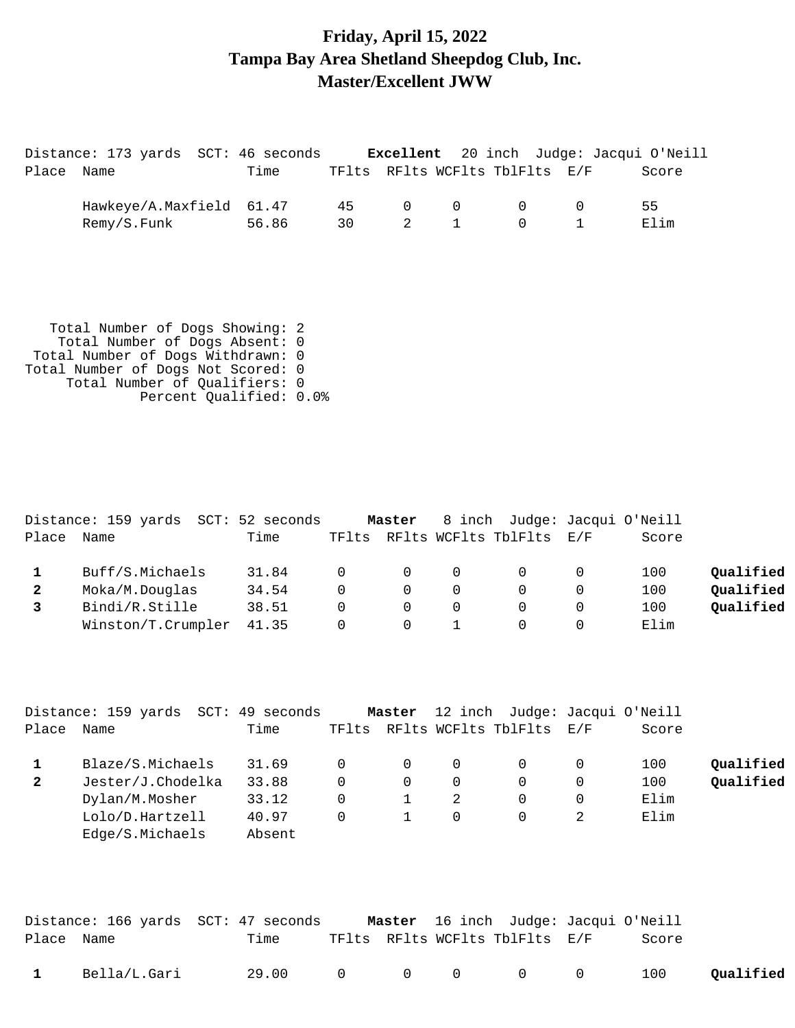### **Friday, April 15, 2022 Tampa Bay Area Shetland Sheepdog Club, Inc. Master/Excellent JWW**

|            | Distance: 173 yards SCT: 46 seconds |       |    |                   |                                | <b>Excellent</b> 20 inch Judge: Jacqui O'Neill |
|------------|-------------------------------------|-------|----|-------------------|--------------------------------|------------------------------------------------|
| Place Name |                                     | Time  |    |                   | TFlts RFlts WCFlts TblFlts E/F | Score                                          |
|            | Hawkeye/A.Maxfield 61.47            |       | 45 | $\Omega$ $\Omega$ | $\Omega$                       | 55.                                            |
|            | Remy/S.Funk                         | 56.86 | 30 | 2 1               | $\Omega$                       | F. lim                                         |

|       | Distance: 159 yards SCT: 52 seconds |       |          | Master   |          | 8 inch Judge: Jacqui O'Neill |       |           |
|-------|-------------------------------------|-------|----------|----------|----------|------------------------------|-------|-----------|
| Place | Name                                | Time  | TFlts    |          |          | RFlts WCFlts TblFlts E/F     | Score |           |
|       | Buff/S.Michaels                     | 31.84 | $\Omega$ | 0        | $\Omega$ |                              | 100   | Oualified |
|       | Moka/M.Douglas                      | 34.54 | $\Omega$ | $\Omega$ | $\Omega$ |                              | 100   | Qualified |
|       | Bindi/R.Stille                      | 38.51 | $\Omega$ | $\Omega$ | $\Omega$ |                              | 100   | Qualified |
|       | Winston/T.Crumpler                  | 41.35 | $\Omega$ | $\Omega$ |          |                              | Elim  |           |

|              | Distance: 159 yards SCT: 49 seconds |        |       | Master   | 12 inch Judge: Jacqui O'Neill |       |           |
|--------------|-------------------------------------|--------|-------|----------|-------------------------------|-------|-----------|
| Place        | Name                                | Time   | TFlts |          | RFlts WCFlts TblFlts E/F      | Score |           |
|              | Blaze/S.Michaels                    | 31.69  |       | $\Omega$ |                               | 100   | Oualified |
| $\mathbf{2}$ | Jester/J.Chodelka                   | 33.88  | 0     | 0        |                               | 100   | Qualified |
|              | Dylan/M.Mosher                      | 33.12  | 0     |          |                               | Elim  |           |
|              | Lolo/D.Hartzell                     | 40.97  | 0     |          |                               | Elim  |           |
|              | Edge/S.Michaels                     | Absent |       |          |                               |       |           |

|              |              | Distance: 166 yards SCT: 47 seconds |  | <b>Master</b> 16 inch Judge: Jacqui O'Neill |       |           |
|--------------|--------------|-------------------------------------|--|---------------------------------------------|-------|-----------|
| Place Name   |              | Time                                |  | TFlts RFlts WCFlts TblFlts E/F              | Score |           |
| $\mathbf{1}$ | Bella/L.Gari | 29.00 0                             |  | $\begin{matrix} 0 & 0 & 0 & 0 \end{matrix}$ | 100   | Qualified |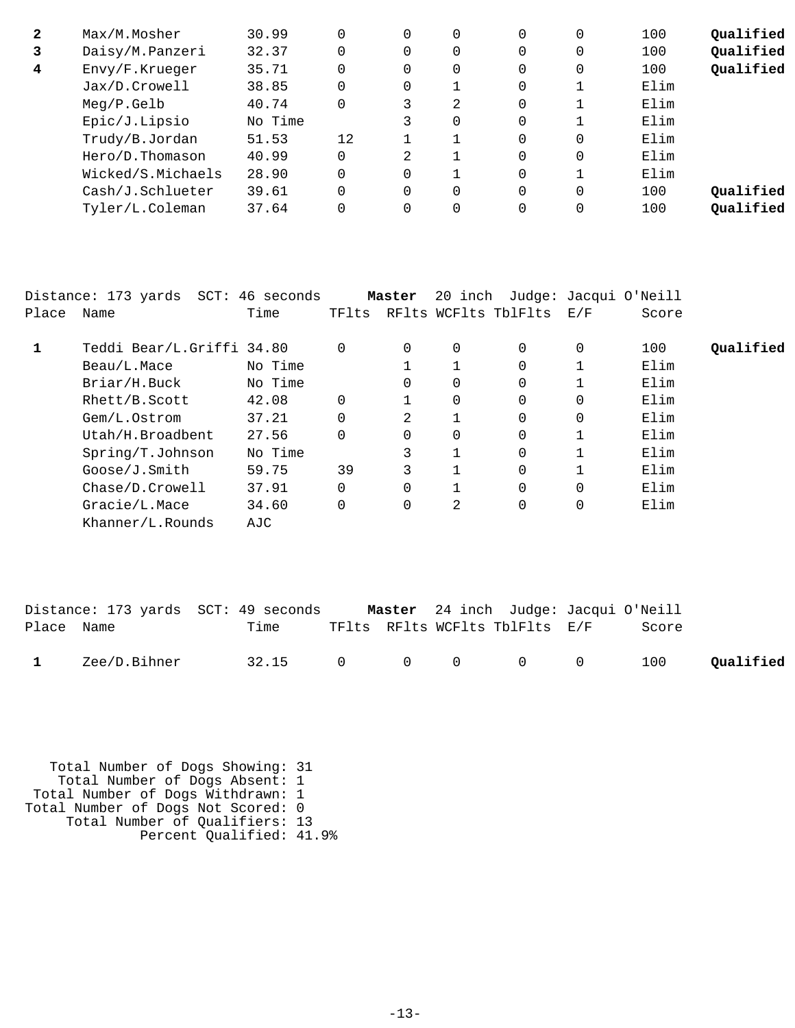| $\mathbf{2}$ | Max/M.Mosher      | 30.99   |    | $\Omega$ | 0 | 0 | 0            | 100  | Oualified |
|--------------|-------------------|---------|----|----------|---|---|--------------|------|-----------|
| 3            | Daisy/M.Panzeri   | 32.37   |    | 0        | 0 | 0 | 0            | 100  | Qualified |
| 4            | Envy/F.Krueger    | 35.71   |    | $\Omega$ | 0 | 0 | 0            | 100  | Qualified |
|              | Jax/D.Crowell     | 38.85   |    | $\Omega$ |   | 0 |              | Elim |           |
|              | Meq/P.Gelb        | 40.74   |    |          | 2 | 0 |              | Elim |           |
|              | Epic/J.Lipsio     | No Time |    |          | 0 | 0 |              | Elim |           |
|              | Trudy/B.Jordan    | 51.53   | 12 |          |   | 0 | 0            | Elim |           |
|              | Hero/D.Thomason   | 40.99   |    | 2        |   | 0 | $\mathbf{0}$ | Elim |           |
|              | Wicked/S.Michaels | 28.90   |    | $\Omega$ |   | 0 |              | Elim |           |
|              | Cash/J.Schlueter  | 39.61   |    | $\Omega$ | 0 | 0 | $\Omega$     | 100  | Qualified |
|              | Tyler/L.Coleman   | 37.64   |    | 0        | 0 | 0 | 0            | 100  | Oualified |

|       | Distance: 173 yards SCT: 46 seconds |         |          | Master   | 20 inch  |                      |          | Judge: Jacqui O'Neill |           |
|-------|-------------------------------------|---------|----------|----------|----------|----------------------|----------|-----------------------|-----------|
| Place | Name                                | Time    | TFlts    |          |          | RFlts WCFlts TblFlts | E/F      | Score                 |           |
| 1     | Teddi Bear/L.Griffi 34.80           |         | $\Omega$ | $\Omega$ | 0        | $\Omega$             | 0        | 100                   | Qualified |
|       | Beau/L.Mace                         | No Time |          |          |          | 0                    |          | Elim                  |           |
|       | Briar/H.Buck                        | No Time |          | $\Omega$ | 0        | $\Omega$             |          | Elim                  |           |
|       | Rhett/B.Scott                       | 42.08   | $\Omega$ |          | $\Omega$ | $\Omega$             | $\Omega$ | Elim                  |           |
|       | Gem/L.Ostrom                        | 37.21   | $\Omega$ | 2        |          | $\Omega$             | $\Omega$ | Elim                  |           |
|       | Utah/H.Broadbent                    | 27.56   | $\Omega$ |          | 0        | 0                    |          | Elim                  |           |
|       | Spring/T.Johnson                    | No Time |          | 3        |          | $\Omega$             |          | Elim                  |           |
|       | Goose/J.Smith                       | 59.75   | 39       | 3        |          | $\Omega$             |          | Elim                  |           |
|       | Chase/D.Crowell                     | 37.91   | $\Omega$ |          |          | $\Omega$             | $\Omega$ | Elim                  |           |
|       | Gracie/L.Mace                       | 34.60   | 0        |          | 2        | 0                    | 0        | Elim                  |           |
|       | Khanner/L.Rounds                    | AJC     |          |          |          |                      |          |                       |           |

|              |              | Distance: 173 yards SCT: 49 seconds |  | <b>Master</b> 24 inch Judge: Jacqui O'Neill |       |           |
|--------------|--------------|-------------------------------------|--|---------------------------------------------|-------|-----------|
| Place Name   |              | Time                                |  | TFlts RFlts WCFlts TblFlts E/F              | Score |           |
| $\mathbf{1}$ | Zee/D.Bihner | 32.15 0 0 0 0 0                     |  |                                             | 100   | Qualified |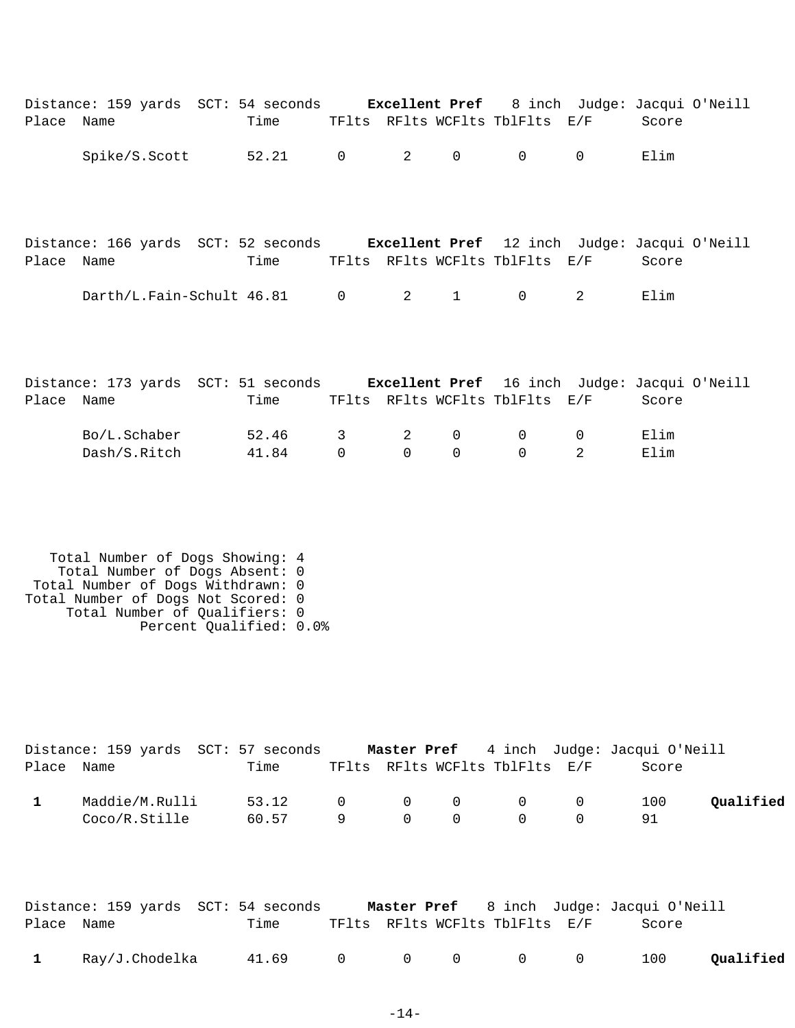| Place Name   | Distance: 159 yards SCT: 54 seconds Excellent Pref                                                                                                                                                       | Time           |                  |                  |                   | TFlts RFlts WCFlts TblFlts E/F | 8 inch Judge: Jacqui O'Neill | Score        |           |
|--------------|----------------------------------------------------------------------------------------------------------------------------------------------------------------------------------------------------------|----------------|------------------|------------------|-------------------|--------------------------------|------------------------------|--------------|-----------|
|              | Spike/S.Scott                                                                                                                                                                                            | 52.21          | $\overline{0}$   | $\overline{a}$   | 0                 | $\mathsf{O}$                   | $\mathsf{O}$                 | Elim         |           |
| Place Name   | Distance: 166 yards SCT: 52 seconds Excellent Pref 12 inch Judge: Jacqui O'Neill                                                                                                                         | Time           |                  |                  |                   | TFlts RFlts WCFlts TblFlts E/F |                              | Score        |           |
|              | Darth/L.Fain-Schult 46.81 0                                                                                                                                                                              |                |                  | $\overline{a}$   | $\mathbf{1}$      | $\overline{0}$                 | $\overline{2}$               | Elim         |           |
| Place Name   | Distance: 173 yards SCT: 51 seconds Excellent Pref 16 inch Judge: Jacqui O'Neill                                                                                                                         | Time           |                  |                  |                   | TFlts RFlts WCFlts TblFlts E/F |                              | Score        |           |
|              | Bo/L.Schaber<br>Dash/S.Ritch                                                                                                                                                                             | 52.46<br>41.84 | 3<br>$\mathbf 0$ | 2<br>$\mathbf 0$ | 0<br>$\mathsf{O}$ | 0<br>$\mathbf 0$               | 0<br>2                       | Elim<br>Elim |           |
|              | Total Number of Dogs Showing: 4<br>Total Number of Dogs Absent: 0<br>Total Number of Dogs Withdrawn: 0<br>Total Number of Dogs Not Scored: 0<br>Total Number of Qualifiers: 0<br>Percent Qualified: 0.0% |                |                  |                  |                   |                                |                              |              |           |
| Place Name   | Distance: 159 yards SCT: 57 seconds Master Pref 4 inch Judge: Jacqui O'Neill                                                                                                                             | Time           |                  |                  |                   | TFlts RFlts WCFlts TblFlts E/F |                              | Score        |           |
| $\mathbf{1}$ | Maddie/M.Rulli<br>Coco/R.Stille                                                                                                                                                                          | 53.12<br>60.57 | $\mathbf 0$<br>9 | 0<br>$\mathbf 0$ | 0<br>$\mathbf 0$  | $\mathsf{O}$<br>$\mathbf 0$    | $\mathsf{O}$<br>$\mathbf 0$  | 100<br>91    | Qualified |

|              |                | Distance: 159 yards SCT: 54 seconds |  |                                | <b>Master Pref</b> 8 inch Judge: Jacqui O'Neill |           |
|--------------|----------------|-------------------------------------|--|--------------------------------|-------------------------------------------------|-----------|
| Place Name   |                | Time                                |  | TFlts RFlts WCFlts TblFlts E/F | Score                                           |           |
| $\mathbf{1}$ | Ray/J.Chodelka | $41.69$ 0 0 0 0 0                   |  |                                | 100                                             | Qualified |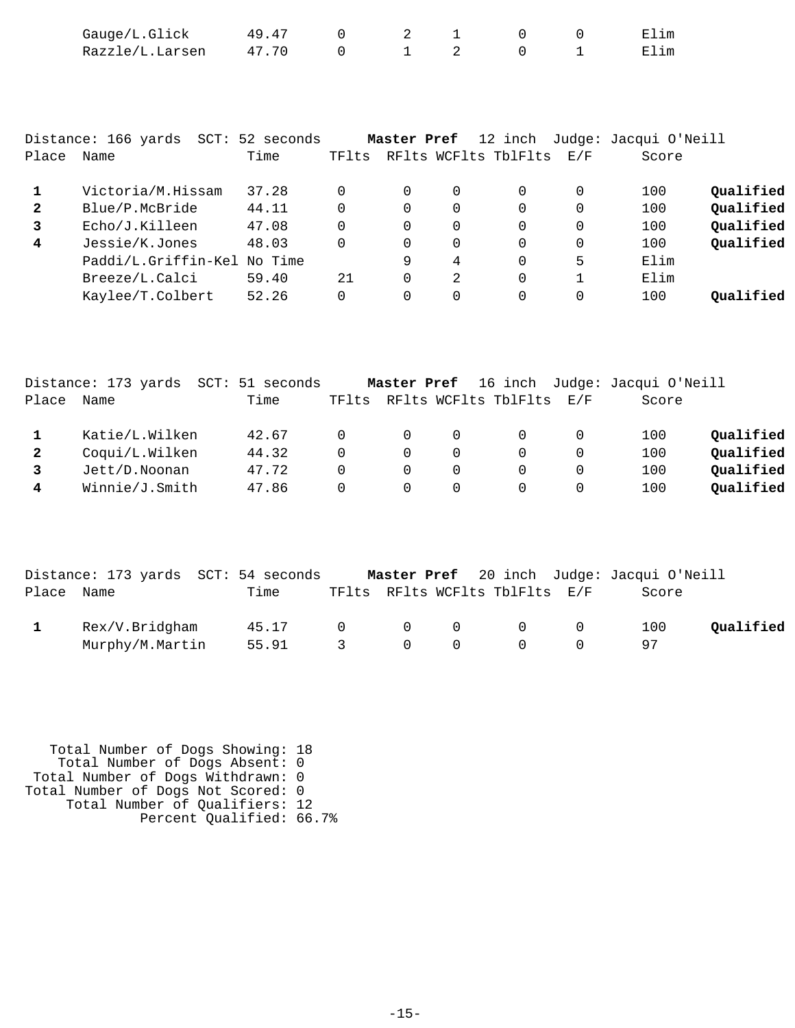|                | Gauge/L.Glick                       | 49.47   | 0        | 2           |          | $\mathbf 0$          | 0           | Elim                  |           |
|----------------|-------------------------------------|---------|----------|-------------|----------|----------------------|-------------|-----------------------|-----------|
|                | Razzle/L.Larsen                     | 47.70   | $\Omega$ |             | 2        | $\Omega$             | $\mathbf 1$ | Elim                  |           |
|                |                                     |         |          |             |          |                      |             |                       |           |
|                |                                     |         |          |             |          |                      |             |                       |           |
|                |                                     |         |          |             |          |                      |             |                       |           |
|                |                                     |         |          |             |          |                      |             |                       |           |
|                | Distance: 166 yards SCT: 52 seconds |         |          | Master Pref |          | 12 inch              |             | Judge: Jacqui O'Neill |           |
| Place          | Name                                | Time    | TFlts    |             |          | RFlts WCFlts TblFlts | E/F         | Score                 |           |
|                |                                     |         |          |             |          |                      |             |                       |           |
| 1              | Victoria/M.Hissam                   | 37.28   | $\Omega$ | $\Omega$    | $\Omega$ | $\Omega$             | $\Omega$    | 100                   | Qualified |
| $\overline{2}$ | Blue/P.McBride                      | 44.11   | $\Omega$ | $\Omega$    | $\Omega$ | $\Omega$             | $\Omega$    | 100                   | Qualified |
| 3              | Echo/J.Killeen                      | 47.08   |          | $\mathbf 0$ | 0        | 0                    | $\mathbf 0$ | 100                   | Qualified |
| 4              | Jessie/K.Jones                      | 48.03   | $\Omega$ | $\Omega$    | $\Omega$ | $\Omega$             | $\Omega$    | 100                   | Qualified |
|                | Paddi/L.Griffin-Kel                 | No Time |          | 9           | 4        | $\Omega$             | 5           | Elim                  |           |
|                | Breeze/L.Calci                      | 59.40   | 21       | $\Omega$    | 2        | 0                    | 1           | Elim                  |           |
|                | Kaylee/T.Colbert                    | 52.26   | $\Omega$ | $\Omega$    | 0        | 0                    | $\Omega$    | 100                   | Oualified |
|                |                                     |         |          |             |          |                      |             |                       |           |

|              | Distance: 173 yards | SCT: 51 seconds |          | Master Pref |          |                          |          | 16 inch Judge: Jacqui O'Neill |           |
|--------------|---------------------|-----------------|----------|-------------|----------|--------------------------|----------|-------------------------------|-----------|
| Place        | Name                | Time            | TFlts    |             |          | RFlts WCFlts TblFlts E/F |          | Score                         |           |
|              | Katie/L.Wilken      | 42.67           | $\Omega$ | $\Omega$    | $\Omega$ |                          |          | 100                           | Qualified |
| $\mathbf{2}$ | Coqui/L.Wilken      | 44.32           |          | $\Omega$    | 0        |                          |          | 100                           | Qualified |
|              | Jett/D.Noonan       | 47.72           |          | $\Omega$    | $\Omega$ |                          |          | 100                           | Qualified |
| 4            | Winnie/J.Smith      | 47.86           |          | $\Omega$    | $\Omega$ |                          | $\Omega$ | 100                           | Qualified |

|            | Distance: 173 yards SCT: 54 seconds |       |               |                |          |                                |                | Master Pref 20 inch Judge: Jacqui O'Neill |           |
|------------|-------------------------------------|-------|---------------|----------------|----------|--------------------------------|----------------|-------------------------------------------|-----------|
| Place Name |                                     | Time  |               |                |          | TFlts RFlts WCFlts TblFlts E/F |                | Score                                     |           |
|            | Rex/V.Bridgham                      | 45.17 | $\Omega$      | $\overline{0}$ | $\Omega$ | $\overline{0}$                 | $\overline{0}$ | 100                                       | Oualified |
|            | Murphy/M.Martin                     | 55.91 | $\mathcal{R}$ | $\overline{0}$ | $\Omega$ | $\Omega$                       |                |                                           |           |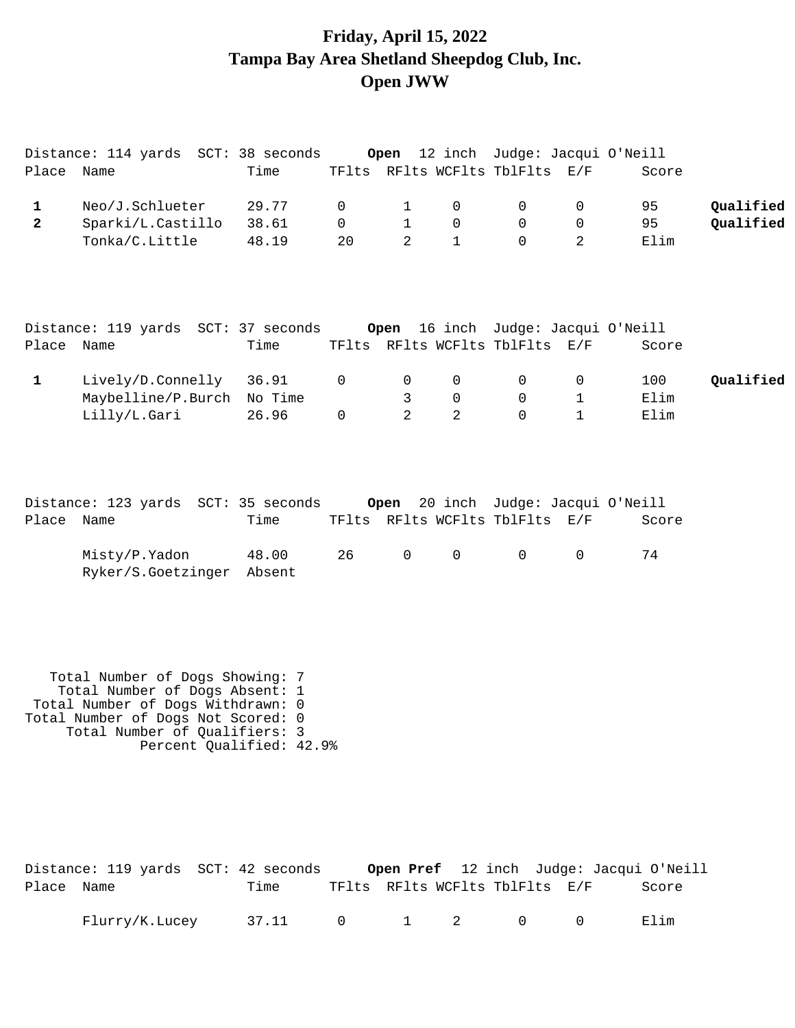## **Friday, April 15, 2022 Tampa Bay Area Shetland Sheepdog Club, Inc. Open JWW**

Distance: 114 yards SCT: 38 seconds **Open** 12 inch Judge: Jacqui O'Neill

| Place                                   | Name                                                                                                                                                                                                      | Time                      | TFlts                     |                                                |                                            | RFlts WCFlts TblFlts                          | E/F                              | Score                                        |                        |
|-----------------------------------------|-----------------------------------------------------------------------------------------------------------------------------------------------------------------------------------------------------------|---------------------------|---------------------------|------------------------------------------------|--------------------------------------------|-----------------------------------------------|----------------------------------|----------------------------------------------|------------------------|
| $\mathbf{1}$<br>$\overline{\mathbf{2}}$ | Neo/J.Schlueter<br>Sparki/L.Castillo<br>Tonka/C.Little                                                                                                                                                    | 29.77<br>38.61<br>48.19   | 0<br>$\overline{0}$<br>20 | $\mathbf{1}$<br>$\mathbf{1}$<br>$\overline{2}$ | 0<br>$\mathbf 0$<br>$\mathbf{1}$           | 0<br>$\Omega$<br>$\Omega$                     | 0<br>$\mathbf 0$<br>2            | 95<br>95<br>Elim                             | Qualified<br>Qualified |
| Place Name                              | Distance: 119 yards SCT: 37 seconds                                                                                                                                                                       | Time                      |                           | Open                                           |                                            | TFlts RFlts WCFlts TblFlts E/F                |                                  | 16 inch Judge: Jacqui O'Neill<br>Score       |                        |
| $\mathbf{1}$                            | Lively/D.Connelly<br>Maybelline/P.Burch<br>Lilly/L.Gari                                                                                                                                                   | 36.91<br>No Time<br>26.96 | 0<br>$\overline{0}$       | 0<br>$\mathsf{3}$<br>$\overline{a}$            | 0<br>$\mathsf{O}\xspace$<br>$\overline{a}$ | 0<br>0<br>$\Omega$                            | 0<br>$\mathbf 1$<br>$\mathbf{1}$ | 100<br>Elim<br>Elim                          | Qualified              |
| Place Name                              | Distance: 123 yards SCT: 35 seconds<br>Misty/P.Yadon<br>Ryker/S.Goetzinger                                                                                                                                | Time<br>48.00<br>Absent   | 26                        | Open<br>$\mathsf{O}\xspace$                    | $\mathbf 0$                                | TFlts RFlts WCFlts TblFlts E/F<br>$\mathbf 0$ | $\mathbf 0$                      | 20 inch Judge: Jacqui O'Neill<br>Score<br>74 |                        |
|                                         | Total Number of Dogs Showing: 7<br>Total Number of Dogs Absent: 1<br>Total Number of Dogs Withdrawn: 0<br>Total Number of Dogs Not Scored: 0<br>Total Number of Qualifiers: 3<br>Percent Qualified: 42.9% |                           |                           |                                                |                                            |                                               |                                  |                                              |                        |

|            | Distance: 119 yards SCT: 42 seconds |       |  |                                                                     | Open Pref 12 inch Judge: Jacqui O'Neill |
|------------|-------------------------------------|-------|--|---------------------------------------------------------------------|-----------------------------------------|
| Place Name |                                     | Time  |  | TFlts RFlts WCFlts TblFlts E/F                                      | Score                                   |
|            | Flurry/K.Lucey                      | 37.11 |  | $0 \qquad \qquad 1 \qquad \qquad 2 \qquad \qquad 0 \qquad \qquad 0$ | Elim                                    |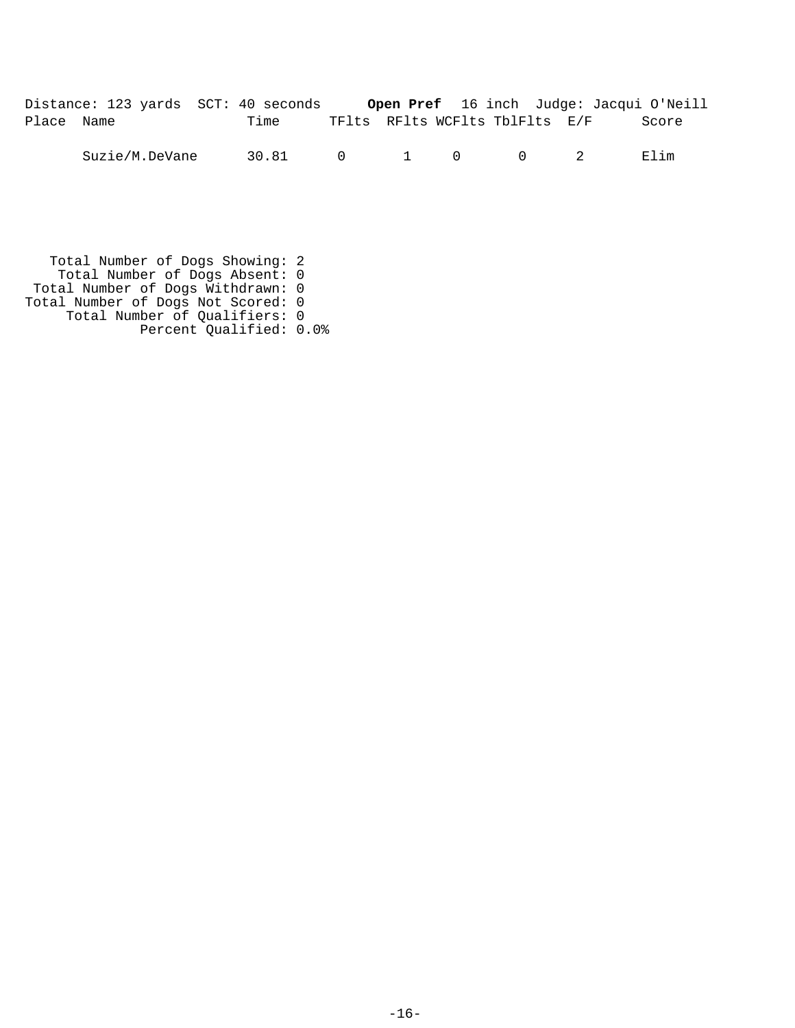| Distance: 123 yards SCT: 40 seconds |      | Open Pref 16 inch Judge: Jacqui O'Neill |  |       |
|-------------------------------------|------|-----------------------------------------|--|-------|
| Place Name                          | Time | TFlts RFlts WCFlts TblFlts E/F          |  | Score |

Suzie/M.DeVane 30.81 0 1 0 0 2 Elim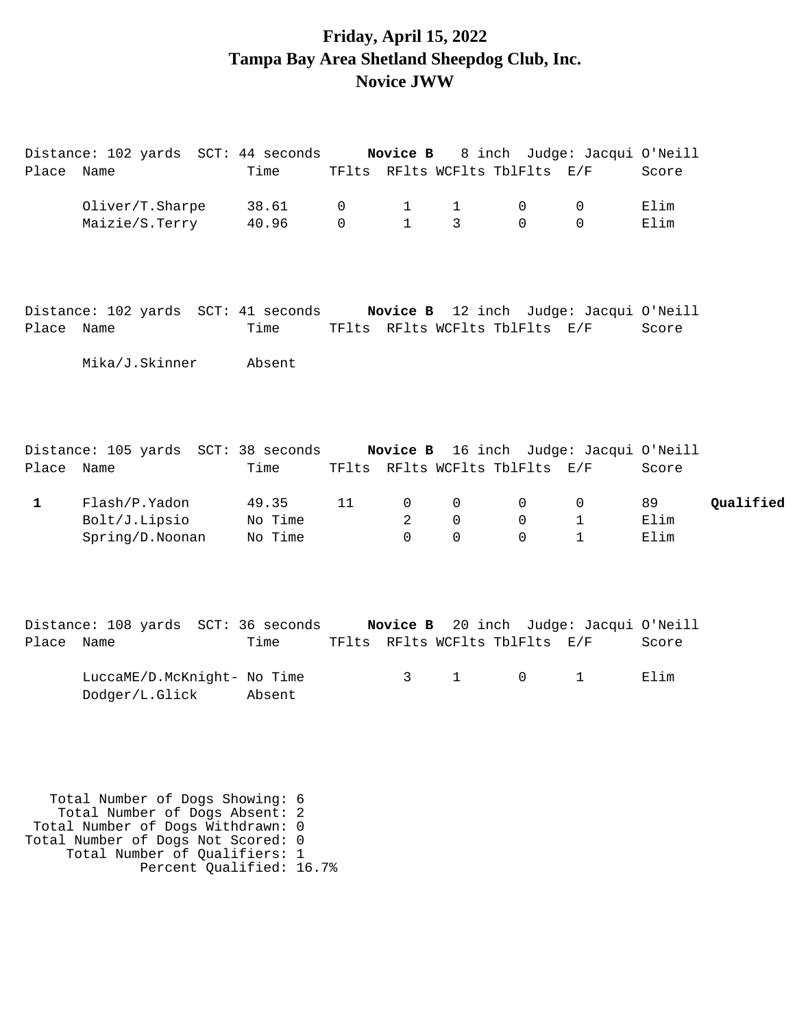### **Friday, April 15, 2022 Tampa Bay Area Shetland Sheepdog Club, Inc. Novice JWW**

| Place Name   | Distance: 102 yards SCT: 44 seconds <b>Novice B</b> 8 inch Judge: Jacqui O'Neill  | Time               |               |                              |                         | TFlts RFlts WCFlts TblFlts E/F |                                | Score        |           |
|--------------|-----------------------------------------------------------------------------------|--------------------|---------------|------------------------------|-------------------------|--------------------------------|--------------------------------|--------------|-----------|
|              | Oliver/T.Sharpe<br>Maizie/S.Terry                                                 | 38.61<br>40.96     | 0<br>$\Omega$ | $\mathbf{1}$<br>$\mathbf{1}$ | $\mathbf{1}$<br>3       | 0<br>$\Omega$                  | 0<br>$\Omega$                  | Elim<br>Elim |           |
| Place Name   | Distance: 102 yards SCT: 41 seconds <b>Novice B</b> 12 inch Judge: Jacqui O'Neill | Time               |               |                              |                         |                                | TFlts RFlts WCFlts TblFlts E/F | Score        |           |
|              | Mika/J.Skinner                                                                    | Absent             |               |                              |                         |                                |                                |              |           |
| Place Name   | Distance: 105 yards SCT: 38 seconds <b>Novice B</b> 16 inch Judge: Jacqui O'Neill | Time               |               |                              |                         |                                | TFlts RFlts WCFlts TblFlts E/F | Score        |           |
| $\mathbf{1}$ | Flash/P.Yadon                                                                     | 49.35              | 11            | 0                            | 0                       | 0                              | 0                              | 89           | Qualified |
|              | Bolt/J.Lipsio<br>Spring/D.Noonan                                                  | No Time<br>No Time |               | 2<br>$\Omega$                | $\mathbf 0$<br>$\Omega$ | $\mathbf 0$<br>$\Omega$        | $\mathbf 1$<br>$\mathbf{1}$    | Elim<br>Elim |           |
| Place Name   | Distance: 108 yards SCT: 36 seconds <b>Novice B</b> 20 inch Judge: Jacqui O'Neill | Time               |               |                              |                         |                                | TFlts RFlts WCFlts TblFlts E/F | Score        |           |
|              | LuccaME/D.McKnight- No Time<br>Dodger/L.Glick                                     | Absent             |               | 3                            | $\mathbf{1}$            | $\overline{0}$                 | $\mathbf{1}$                   | Elim         |           |
|              |                                                                                   |                    |               |                              |                         |                                |                                |              |           |
|              | Total Number of Dogs Showing: 6                                                   |                    |               |                              |                         |                                |                                |              |           |

 Total Number of Dogs Absent: 2 Total Number of Dogs Withdrawn: 0 Total Number of Dogs Not Scored: 0 Total Number of Qualifiers: 1 Percent Qualified: 16.7%